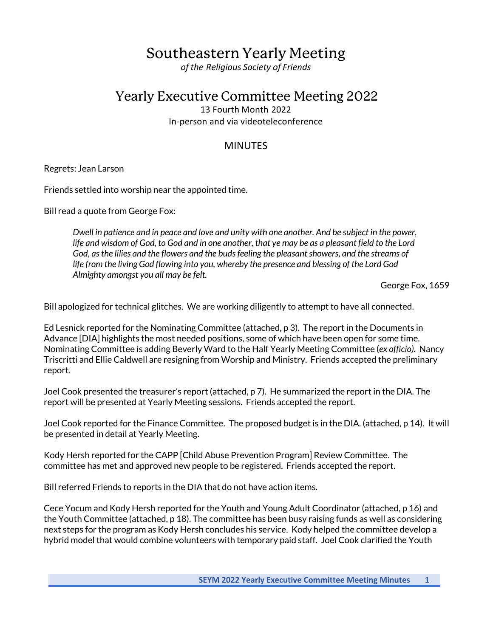# Southeastern Yearly Meeting

*of the Religious Society of Friends*

# Yearly Executive Committee Meeting 2022

13 Fourth Month 2022 In-person and via videoteleconference

## **MINUTES**

Regrets: Jean Larson

Friends settled into worship near the appointed time.

Bill read a quote from George Fox:

*Dwell in patience and in peace and love and unity with one another. And be subject in the power, life and wisdom of God, to God and in one another, that ye may be as a pleasant field to the Lord God, as the lilies and the flowers and the buds feeling the pleasant showers, and the streams of life from the living God flowing into you, whereby the presence and blessing of the Lord God Almighty amongst you all may be felt.*

George Fox, 1659

Bill apologized for technical glitches. We are working diligently to attempt to have all connected.

Ed Lesnick reported for the Nominating Committee (attached, p 3). The report in the Documents in Advance [DIA] highlights the most needed positions, some of which have been open for some time. Nominating Committee is adding Beverly Ward to the Half Yearly Meeting Committee (*ex officio).* Nancy Triscritti and Ellie Caldwell are resigning from Worship and Ministry. Friends accepted the preliminary report.

Joel Cook presented the treasurer's report(attached, p 7). He summarized the report in the DIA. The report will be presented at Yearly Meeting sessions. Friends accepted the report.

Joel Cook reported for the Finance Committee. The proposed budget is in the DIA. (attached, p 14). It will be presented in detail at Yearly Meeting.

Kody Hersh reported for the CAPP [Child Abuse Prevention Program] Review Committee. The committee has met and approved new people to be registered. Friends accepted the report.

Bill referred Friends to reports in the DIA that do not have action items.

Cece Yocum and Kody Hersh reported for the Youth and Young Adult Coordinator (attached, p 16) and the Youth Committee (attached, p 18). The committee has been busy raising funds as well as considering next steps for the program as Kody Hersh concludes his service. Kody helped the committee develop a hybrid model that would combine volunteers with temporary paid staff. Joel Cook clarified the Youth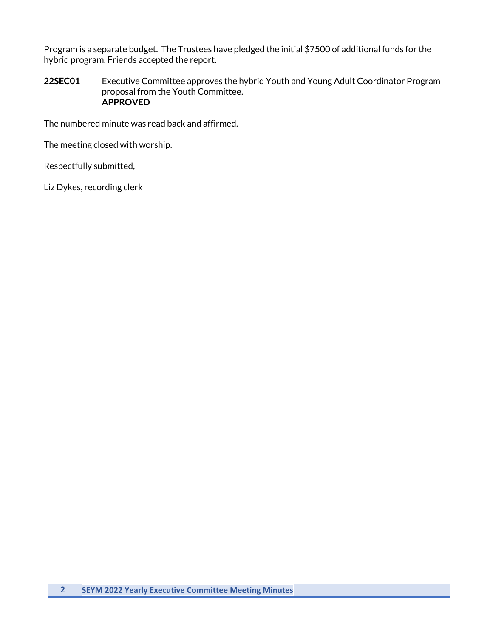Program is a separate budget. The Trustees have pledged the initial \$7500 of additional funds for the hybrid program. Friends accepted the report.

**22SEC01** Executive Committee approves the hybrid Youth and Young Adult Coordinator Program proposal from the Youth Committee. **APPROVED**

The numbered minute was read back and affirmed.

The meeting closed with worship.

Respectfully submitted,

Liz Dykes, recording clerk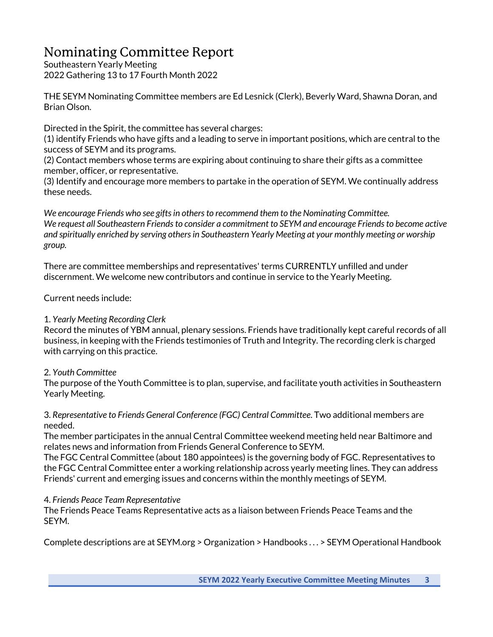# Nominating Committee Report

Southeastern Yearly Meeting 2022 Gathering 13 to 17 Fourth Month 2022

THE SEYM Nominating Committee members are Ed Lesnick (Clerk), Beverly Ward, Shawna Doran, and Brian Olson.

Directed in the Spirit, the committee has several charges:

(1) identify Friends who have gifts and a leading to serve in important positions, which are central to the success of SEYM and its programs.

(2) Contact members whose terms are expiring about continuing to share their gifts as a committee member, officer, or representative.

(3) Identify and encourage more members to partake in the operation of SEYM. We continually address these needs.

*We encourage Friends who see gifts in others to recommend them to the Nominating Committee. We request all Southeastern Friends to consider a commitment to SEYM and encourage Friends to become active and spiritually enriched by serving others in Southeastern Yearly Meeting at your monthly meeting or worship group.* 

There are committee memberships and representatives' terms CURRENTLY unfilled and under discernment. We welcome new contributors and continue in service to the Yearly Meeting.

Current needs include:

## 1. *Yearly Meeting Recording Clerk*

Record the minutes of YBM annual, plenary sessions. Friends have traditionally kept careful records of all business, in keeping with the Friends testimonies of Truth and Integrity. The recording clerk is charged with carrying on this practice.

## 2. *Youth Committee*

The purpose of the Youth Committee is to plan, supervise, and facilitate youth activities in Southeastern Yearly Meeting.

3. *Representative to Friends General Conference (FGC) Central Committee*. Two additional members are needed.

The member participates in the annual Central Committee weekend meeting held near Baltimore and relates news and information from Friends General Conference to SEYM.

The FGC Central Committee (about 180 appointees) is the governing body of FGC. Representatives to the FGC Central Committee enter a working relationship across yearly meeting lines. They can address Friends' current and emerging issues and concerns within the monthly meetings of SEYM.

## 4. *Friends Peace Team Representative*

The Friends Peace Teams Representative acts as a liaison between Friends Peace Teams and the SEYM.

Complete descriptions are at SEYM.org > Organization > Handbooks . . . > SEYM Operational Handbook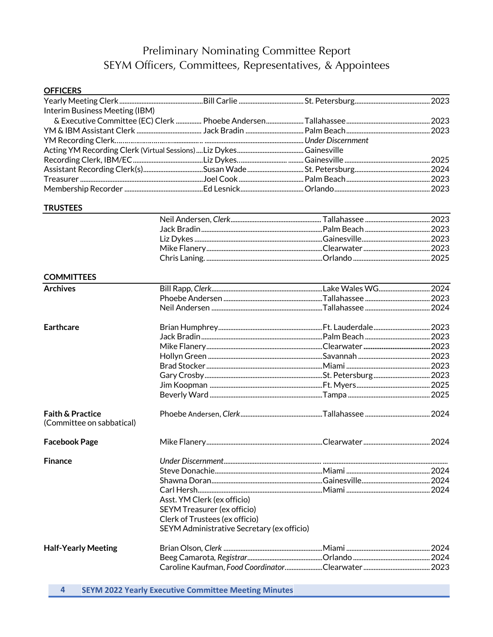# Preliminary Nominating Committee Report SEYM Officers, Committees, Representatives, & Appointees

| <b>OFFICERS</b>                                          |                                                                                                      |  |
|----------------------------------------------------------|------------------------------------------------------------------------------------------------------|--|
|                                                          |                                                                                                      |  |
| Interim Business Meeting (IBM)                           |                                                                                                      |  |
|                                                          |                                                                                                      |  |
|                                                          |                                                                                                      |  |
|                                                          |                                                                                                      |  |
|                                                          |                                                                                                      |  |
|                                                          |                                                                                                      |  |
|                                                          |                                                                                                      |  |
|                                                          | Treasurer …………………………………………………………………………Joel Cook ………………………………………Palm Beach …………………………………………………………2023 |  |
|                                                          |                                                                                                      |  |
| <b>TRUSTEES</b>                                          |                                                                                                      |  |
|                                                          |                                                                                                      |  |
|                                                          |                                                                                                      |  |
|                                                          |                                                                                                      |  |
|                                                          |                                                                                                      |  |
|                                                          |                                                                                                      |  |
| <b>COMMITTEES</b>                                        |                                                                                                      |  |
| <b>Archives</b>                                          |                                                                                                      |  |
|                                                          |                                                                                                      |  |
|                                                          |                                                                                                      |  |
| <b>Earthcare</b>                                         |                                                                                                      |  |
|                                                          |                                                                                                      |  |
|                                                          |                                                                                                      |  |
|                                                          |                                                                                                      |  |
|                                                          |                                                                                                      |  |
|                                                          |                                                                                                      |  |
|                                                          |                                                                                                      |  |
|                                                          |                                                                                                      |  |
| <b>Faith &amp; Practice</b><br>(Committee on sabbatical) |                                                                                                      |  |
| <b>Facebook Page</b>                                     |                                                                                                      |  |
| <b>Finance</b>                                           |                                                                                                      |  |
|                                                          |                                                                                                      |  |
|                                                          |                                                                                                      |  |
|                                                          |                                                                                                      |  |
|                                                          | Asst. YM Clerk (ex officio)                                                                          |  |
|                                                          | <b>SEYM Treasurer (ex officio)</b>                                                                   |  |
|                                                          | Clerk of Trustees (ex officio)                                                                       |  |
|                                                          | SEYM Administrative Secretary (ex officio)                                                           |  |
| <b>Half-Yearly Meeting</b>                               |                                                                                                      |  |
|                                                          |                                                                                                      |  |
|                                                          |                                                                                                      |  |
| 4                                                        | <b>SEYM 2022 Yearly Executive Committee Meeting Minutes</b>                                          |  |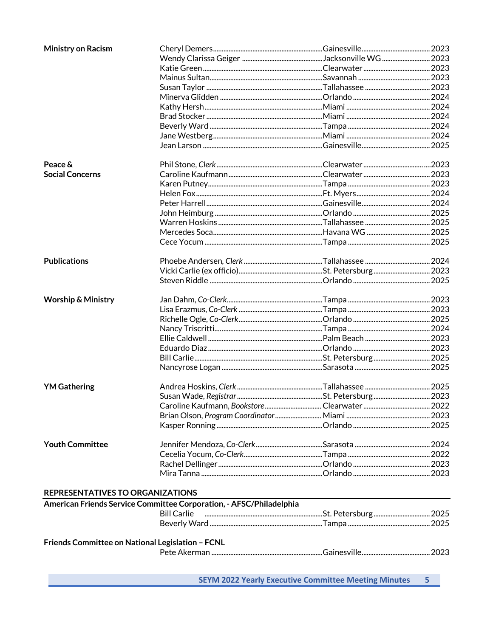| <b>Ministry on Racism</b>                        |                                                                     |  |
|--------------------------------------------------|---------------------------------------------------------------------|--|
|                                                  |                                                                     |  |
|                                                  |                                                                     |  |
|                                                  |                                                                     |  |
|                                                  |                                                                     |  |
|                                                  |                                                                     |  |
|                                                  |                                                                     |  |
|                                                  |                                                                     |  |
|                                                  |                                                                     |  |
|                                                  |                                                                     |  |
|                                                  |                                                                     |  |
| Peace &                                          |                                                                     |  |
| <b>Social Concerns</b>                           |                                                                     |  |
|                                                  |                                                                     |  |
|                                                  |                                                                     |  |
|                                                  |                                                                     |  |
|                                                  |                                                                     |  |
|                                                  |                                                                     |  |
|                                                  |                                                                     |  |
|                                                  |                                                                     |  |
| <b>Publications</b>                              |                                                                     |  |
|                                                  |                                                                     |  |
|                                                  |                                                                     |  |
| <b>Worship &amp; Ministry</b>                    |                                                                     |  |
|                                                  |                                                                     |  |
|                                                  |                                                                     |  |
|                                                  |                                                                     |  |
|                                                  |                                                                     |  |
|                                                  |                                                                     |  |
|                                                  |                                                                     |  |
|                                                  |                                                                     |  |
| <b>YM Gathering</b>                              |                                                                     |  |
|                                                  |                                                                     |  |
|                                                  |                                                                     |  |
|                                                  |                                                                     |  |
|                                                  |                                                                     |  |
| <b>Youth Committee</b>                           |                                                                     |  |
|                                                  |                                                                     |  |
|                                                  |                                                                     |  |
|                                                  |                                                                     |  |
| REPRESENTATIVES TO ORGANIZATIONS                 |                                                                     |  |
|                                                  | American Friends Service Committee Corporation, - AFSC/Philadelphia |  |
|                                                  | <b>Bill Carlie</b>                                                  |  |
|                                                  |                                                                     |  |
|                                                  |                                                                     |  |
| Friends Committee on National Legislation - FCNL |                                                                     |  |
|                                                  |                                                                     |  |
|                                                  |                                                                     |  |

**SEYM 2022 Yearly Executive Committee Meeting Minutes**  $5 -$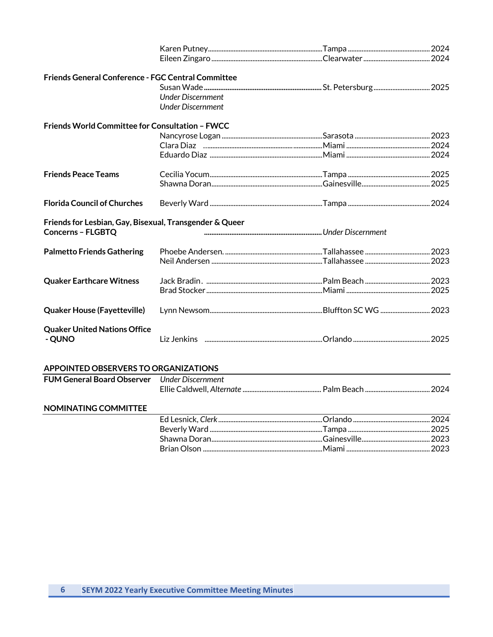| <b>Friends General Conference - FGC Central Committee</b> |                          |                                                                                                                |  |
|-----------------------------------------------------------|--------------------------|----------------------------------------------------------------------------------------------------------------|--|
|                                                           |                          |                                                                                                                |  |
|                                                           | Under Discernment        |                                                                                                                |  |
|                                                           | <b>Under Discernment</b> |                                                                                                                |  |
| Friends World Committee for Consultation - FWCC           |                          |                                                                                                                |  |
|                                                           |                          |                                                                                                                |  |
|                                                           |                          |                                                                                                                |  |
|                                                           |                          |                                                                                                                |  |
| <b>Friends Peace Teams</b>                                |                          |                                                                                                                |  |
|                                                           |                          |                                                                                                                |  |
| <b>Florida Council of Churches</b>                        |                          |                                                                                                                |  |
| Friends for Lesbian, Gay, Bisexual, Transgender & Queer   |                          |                                                                                                                |  |
| <b>Concerns - FLGBTQ</b>                                  |                          |                                                                                                                |  |
| <b>Palmetto Friends Gathering</b>                         |                          |                                                                                                                |  |
|                                                           |                          |                                                                                                                |  |
| <b>Quaker Earthcare Witness</b>                           |                          |                                                                                                                |  |
|                                                           |                          |                                                                                                                |  |
| <b>Quaker House (Fayetteville)</b>                        |                          |                                                                                                                |  |
| <b>Quaker United Nations Office</b><br>- QUNO             |                          | Liz Jenkins www.community.com/community.com/community-community-community-community-community-community-commun |  |
| APPOINTED OBSERVERS TO ORGANIZATIONS                      |                          |                                                                                                                |  |

| <b>FUM General Board Observer</b> Under Discernment |  |  |
|-----------------------------------------------------|--|--|
|                                                     |  |  |

## NOMINATING COMMITTEE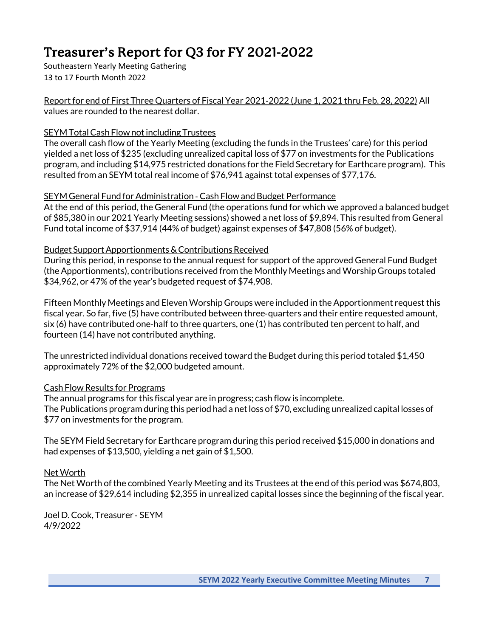# Treasurer's Report for Q3 for FY 2021-2022

Southeastern Yearly Meeting Gathering 13 to 17 Fourth Month 2022

Report for end of First Three Quarters of Fiscal Year 2021-2022 (June 1, 2021 thru Feb. 28, 2022) All values are rounded to the nearest dollar.

## SEYM Total Cash Flow not including Trustees

The overall cash flow of the Yearly Meeting (excluding the funds in the Trustees' care) for this period yielded a net loss of \$235 (excluding unrealized capital loss of \$77 on investments for the Publications program, and including \$14,975 restricted donations for the Field Secretary for Earthcare program). This resulted from an SEYM total real income of \$76,941 against total expenses of \$77,176.

## SEYM General Fund for Administration - Cash Flow and Budget Performance

At the end of this period, the General Fund (the operations fund for which we approved a balanced budget of \$85,380 in our 2021 Yearly Meeting sessions) showed a netloss of \$9,894. This resulted from General Fund total income of \$37,914 (44% of budget) against expenses of \$47,808 (56% of budget).

## Budget Support Apportionments & Contributions Received

During this period, in response to the annual request for support of the approved General Fund Budget (the Apportionments), contributions received from the Monthly Meetings and Worship Groups totaled \$34,962, or 47% of the year's budgeted request of \$74,908.

Fifteen Monthly Meetings and Eleven Worship Groups were included in the Apportionment requestthis fiscal year. So far, five (5) have contributed between three-quarters and their entire requested amount, six (6) have contributed one-half to three quarters, one (1) has contributed ten percent to half, and fourteen (14) have not contributed anything.

The unrestricted individual donations received toward the Budget during this period totaled \$1,450 approximately 72% of the \$2,000 budgeted amount.

## Cash Flow Results for Programs

The annual programs for this fiscal year are in progress; cash flow is incomplete. The Publications program during this period had a net loss of \$70, excluding unrealized capital losses of \$77 on investments for the program.

The SEYM Field Secretary for Earthcare program during this period received \$15,000 in donations and had expenses of \$13,500, yielding a net gain of \$1,500.

## Net Worth

The Net Worth of the combined Yearly Meeting and its Trustees at the end of this period was \$674,803, an increase of \$29,614 including \$2,355 in unrealized capital losses since the beginning of the fiscal year.

Joel D.Cook, Treasurer - SEYM 4/9/2022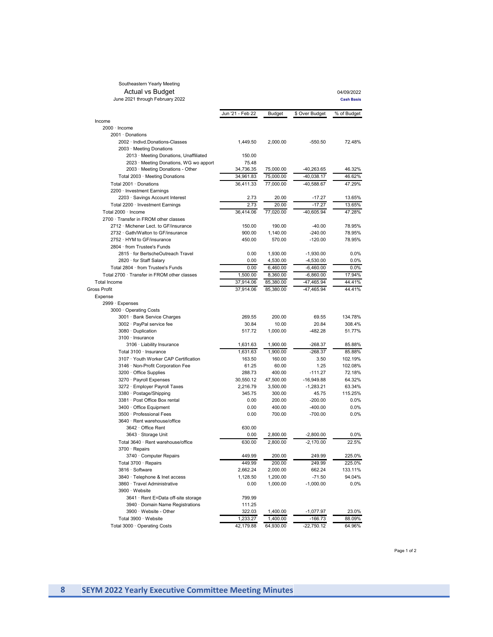# Southeastern Yearly Meeting Actual vs Budget<br>June 2021 through February 2022

04/09/2022 **Cash Basis** 

|                                             | Jun '21 - Feb 22 | <b>Budget</b> | \$ Over Budget | % of Budget |
|---------------------------------------------|------------------|---------------|----------------|-------------|
| Income                                      |                  |               |                |             |
| $2000 \cdot$ Income                         |                  |               |                |             |
| 2001 · Donations                            |                  |               |                |             |
| 2002 · Indivd.Donations-Classes             | 1,449.50         | 2,000.00      | $-550.50$      | 72.48%      |
| 2003 · Meeting Donations                    |                  |               |                |             |
| 2013 · Meeting Donations, Unaffiliated      | 150.00           |               |                |             |
| 2023 · Meeting Donations, WG wo apport      | 75.48            |               |                |             |
| 2003 · Meeting Donations - Other            | 34,736.35        | 75,000.00     | -40,263.65     | 46.32%      |
| Total 2003 · Meeting Donations              | 34,961.83        | 75,000.00     | -40,038.17     | 46.62%      |
| Total 2001 · Donations                      | 36,411.33        | 77,000.00     | -40,588.67     | 47.29%      |
| 2200 · Investment Earnings                  |                  |               |                |             |
| 2203 · Savings Account Interest             | 2.73             | 20.00         | -17.27         | 13.65%      |
| Total 2200 · Investment Earnings            | 2.73             | 20.00         | $-17.27$       | 13.65%      |
| Total 2000 · Income                         | 36,414.06        | 77,020.00     | -40,605.94     | 47.28%      |
| 2700 · Transfer in FROM other classes       |                  |               |                |             |
| 2712 · Michener Lect. to GF/insurance       | 150.00           | 190.00        | $-40.00$       | 78.95%      |
| 2732 · Gath/Walton to GF/insurance          | 900.00           | 1,140.00      | $-240.00$      | 78.95%      |
| 2752 · HYM to GF/insurance                  | 450.00           | 570.00        | $-120.00$      | 78.95%      |
| 2804 · from Trustee's Funds                 |                  |               |                |             |
| 2815 · for BertscheOutreach Travel          | 0.00             | 1,930.00      | $-1,930.00$    | 0.0%        |
| 2820 · for Staff Salary                     | 0.00             | 4,530.00      | $-4,530.00$    | 0.0%        |
| Total 2804 · from Trustee's Funds           | 0.00             | 6,460.00      | $-6,460.00$    | 0.0%        |
| Total 2700 · Transfer in FROM other classes | 1,500.00         | 8,360.00      | $-6,860.00$    | 17.94%      |
| <b>Total Income</b>                         | 37,914.06        | 85,380.00     | -47,465.94     | 44.41%      |
| <b>Gross Profit</b>                         | 37.914.06        | 85,380.00     | -47.465.94     | 44.41%      |
| Expense                                     |                  |               |                |             |
| 2999 · Expenses                             |                  |               |                |             |
| 3000 · Operating Costs                      |                  |               |                |             |
| 3001 · Bank Service Charges                 | 269.55           | 200.00        | 69.55          | 134.78%     |
| 3002 · PayPal service fee                   | 30.84            | 10.00         | 20.84          | 308.4%      |
| 3080 · Duplication                          | 517.72           | 1,000.00      | $-482.28$      | 51.77%      |
| 3100 · Insurance                            |                  |               |                |             |
| 3106 · Liability Insurance                  | 1,631.63         | 1,900.00      | $-268.37$      | 85.88%      |
| Total 3100 · Insurance                      | 1,631.63         | 1,900.00      | $-268.37$      | 85.88%      |
| 3107 · Youth Worker CAP Certification       | 163.50           | 160.00        | 3.50           | 102.19%     |
| 3146 · Non-Profit Corporation Fee           | 61.25            | 60.00         | 1.25           | 102.08%     |
| 3200 Office Supplies                        | 288.73           | 400.00        | $-111.27$      | 72.18%      |
| 3270 · Payroll Expenses                     | 30,550.12        | 47,500.00     | -16,949.88     | 64.32%      |
| 3272 · Employer Payroll Taxes               | 2,216.79         | 3,500.00      | $-1,283.21$    | 63.34%      |
| 3380 · Postage/Shipping                     | 345.75           | 300.00        | 45.75          | 115.25%     |
| 3381 · Post Office Box rental               | 0.00             | 200.00        | $-200.00$      | 0.0%        |
| 3400 · Office Equipment                     | 0.00             | 400.00        | $-400.00$      | 0.0%        |
| 3500 · Professional Fees                    | 0.00             | 700.00        | $-700.00$      | 0.0%        |
| 3640 · Rent warehouse/office                |                  |               |                |             |
| 3642 · Office Rent                          | 630.00           |               |                |             |
| 3643 · Storage Unit                         | 0.00             | 2,800.00      | -2,800.00      | $0.0\%$     |
| Total 3640 · Rent warehouse/office          | 630.00           | 2,800.00      | $-2,170.00$    | 22.5%       |
| 3700 · Repairs                              |                  |               |                |             |
| 3740 · Computer Repairs                     | 449.99           | 200.00        | 249.99         | 225.0%      |
| Total 3700 · Repairs                        | 449.99           | 200.00        | 249.99         | 225.0%      |
| 3816 · Software                             | 2,662.24         | 2,000.00      | 662.24         | 133.11%     |
| 3840 · Telephone & Inet access              | 1,128.50         | 1,200.00      | $-71.50$       | 94.04%      |
| 3860 · Travel Administrative                | 0.00             | 1,000.00      | $-1,000.00$    | 0.0%        |
| 3900 · Website                              |                  |               |                |             |
| 3641 · Rent E=Data off-site storage         | 799.99           |               |                |             |
| 3940 · Domain Name Registrations            | 111.25           |               |                |             |
| 3900 · Website - Other                      | 322.03           | 1,400.00      | $-1,077.97$    | 23.0%       |
| Total 3900 · Website                        | 1,233.27         | 1,400.00      | $-166.73$      | 88.09%      |
| Total 3000 · Operating Costs                | 42,179.88        | 64,930.00     | $-22,750.12$   | 64.96%      |
|                                             |                  |               |                |             |

Page 1 of 2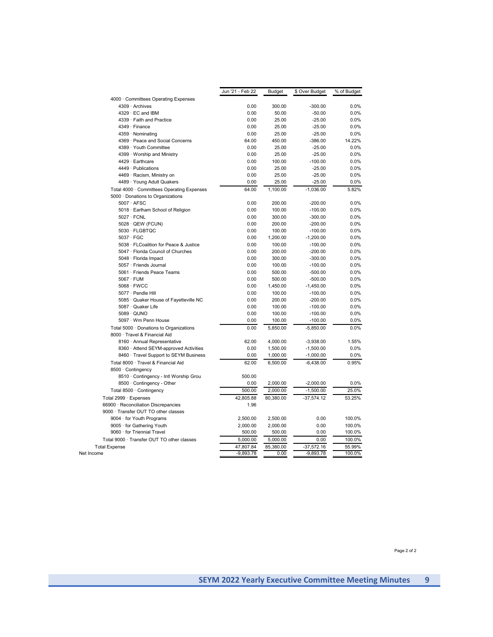|                                            | Jun '21 - Feb 22 | <b>Budget</b> | \$ Over Budget | % of Budget |
|--------------------------------------------|------------------|---------------|----------------|-------------|
| 4000 Committees Operating Expenses         |                  |               |                |             |
| 4309 · Archives                            | 0.00             | 300.00        | $-300.00$      | 0.0%        |
| $4329 \cdot EC$ and IBM                    | 0.00             | 50.00         | $-50.00$       | 0.0%        |
| 4339 · Faith and Practice                  | 0.00             | 25.00         | $-25.00$       | 0.0%        |
| 4349 · Finance                             | 0.00             | 25.00         | $-25.00$       | 0.0%        |
| 4359 · Nominating                          | 0.00             | 25.00         | $-25.00$       | 0.0%        |
| 4369 · Peace and Social Concerns           | 64.00            | 450.00        | $-386.00$      | 14.22%      |
| 4389 · Youth Committee                     | 0.00             | 25.00         | $-25.00$       | 0.0%        |
| 4399 · Worship and Ministry                | 0.00             | 25.00         | $-25.00$       | 0.0%        |
| 4429 · Earthcare                           | 0.00             | 100.00        | $-100.00$      | 0.0%        |
| 4449 · Publications                        | 0.00             | 25.00         | $-25.00$       | 0.0%        |
| 4469 · Racism, Ministry on                 | 0.00             | 25.00         | $-25.00$       | 0.0%        |
| 4489 · Young Adult Quakers                 | 0.00             | 25.00         | $-25.00$       | 0.0%        |
| Total 4000 · Committees Operating Expenses | 64.00            | 1,100.00      | $-1,036.00$    | 5.82%       |
| 5000 · Donations to Organizations          |                  |               |                |             |
| $5007 \cdot AFSC$                          | 0.00             | 200.00        | $-200.00$      | 0.0%        |
| 5018 · Earlham School of Religion          | 0.00             | 100.00        | $-100.00$      | 0.0%        |
| $5027 \cdot FCNL$                          | 0.00             | 300.00        | $-300.00$      | 0.0%        |
| 5028 · QEW (FCUN)                          | 0.00             | 200.00        | $-200.00$      | 0.0%        |
| 5030 · FLGBTQC                             | 0.00             | 100.00        | $-100.00$      | 0.0%        |
| $5037 \cdot FGC$                           | 0.00             | 1,200.00      | $-1,200.00$    | 0.0%        |
| 5038 · FLCoalition for Peace & Justice     | 0.00             | 100.00        | $-100.00$      | 0.0%        |
| 5047 · Florida Council of Churches         | 0.00             | 200.00        | $-200.00$      | 0.0%        |
| 5048 · Florida Impact                      | 0.00             | 300.00        | $-300.00$      | 0.0%        |
| 5057 · Friends Journal                     | 0.00             | 100.00        | $-100.00$      | 0.0%        |
| 5061 · Friends Peace Teams                 | 0.00             | 500.00        | $-500.00$      | 0.0%        |
| $5067 \cdot FUM$                           | 0.00             | 500.00        | $-500.00$      | 0.0%        |
| $5068 \cdot$ FWCC                          | 0.00             | 1,450.00      | $-1,450.00$    | 0.0%        |
| 5077 · Pendle Hill                         | 0.00             | 100.00        | $-100.00$      | 0.0%        |
| 5085 · Quaker House of Fayetteville NC     | 0.00             | 200.00        | $-200.00$      | 0.0%        |
| 5087 · Quaker Life                         | 0.00             | 100.00        | $-100.00$      | 0.0%        |
| 5089 · QUNO                                | 0.00             | 100.00        | $-100.00$      | 0.0%        |
| 5097 · Wm Penn House                       | 0.00             | 100.00        | $-100.00$      | 0.0%        |
| Total 5000 · Donations to Organizations    | 0.00             | 5,850.00      | $-5,850.00$    | 0.0%        |
| 8000 · Travel & Financial Aid              |                  |               |                |             |
| 8160 · Annual Representative               | 62.00            | 4,000.00      | $-3,938.00$    | 1.55%       |
| 8360 · Attend SEYM-approved Activities     | 0.00             | 1,500.00      | $-1,500.00$    | 0.0%        |
| 8460 · Travel Support to SEYM Business     | 0.00             | 1,000.00      | $-1,000.00$    | 0.0%        |
| Total 8000 · Travel & Financial Aid        | 62.00            | 6,500.00      | $-6,438.00$    | 0.95%       |
| 8500 · Contingency                         |                  |               |                |             |
| 8510 · Contingency - Intl Worship Grou     | 500.00           |               |                |             |
| 8500 · Contingency - Other                 | 0.00             | 2,000.00      | $-2,000.00$    | 0.0%        |
| Total 8500 · Contingency                   | 500.00           | 2,000.00      | $-1,500.00$    | 25.0%       |
| Total 2999 · Expenses                      | 42,805.88        | 80,380.00     | $-37,574.12$   | 53.25%      |
| 66900 · Reconciliation Discrepancies       | 1.96             |               |                |             |
| 9000 · Transfer OUT TO other classes       |                  |               |                |             |
| 9004 · for Youth Programs                  | 2,500.00         | 2,500.00      | 0.00           | 100.0%      |
| 9005 · for Gathering Youth                 | 2,000.00         | 2,000.00      | 0.00           | 100.0%      |
| 9060 · for Triennial Travel                | 500.00           | 500.00        | 0.00           | 100.0%      |
| Total 9000 · Transfer OUT TO other classes | 5,000.00         | 5,000.00      | 0.00           | 100.0%      |
| <b>Total Expense</b>                       | 47,807.84        | 85,380.00     | $-37,572.16$   | 55.99%      |
| Net Income                                 | $-9,893.78$      | 0.00          | $-9,893.78$    | 100.0%      |
|                                            |                  |               |                |             |

Page 2 of 2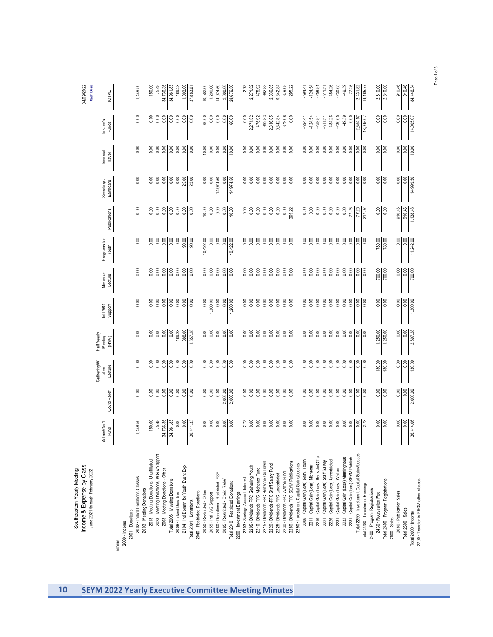| 04/09/2022<br><b>Cash Basis</b>                                                             | <b>TOTAL</b>                           |        |                 |                  | 1,449.50                        |                          | 150.00                                 | 75.48                                  | 34,736.35                        | 34,961.83                      | 469.28                  | 1,003.00                              | 37,883.61              |                             | 10,502.00                 | 1,200.00                | 14,974.50                         | 2,000.00                         | 28,676.50                         |                            | 2.73                            | 2,271.52                             | 475.92                             | 992.83                                 | 2,336.85                               | 9,342.84                          | 879.68                           | 295.22                                 |                                        | -594.41                               | $-124.54$                          | $-259.81$                              | $-611.51$                              | 484.26                                 | $-230.65$                        | 49.39                                  | $-77.25$                               | $-2,431.82$                                  | 14,165.77                        |                              | 2,810.00                | 2,810.00                           |              | 910.46                   | 910.46             | 84,446.34                                                    |
|---------------------------------------------------------------------------------------------|----------------------------------------|--------|-----------------|------------------|---------------------------------|--------------------------|----------------------------------------|----------------------------------------|----------------------------------|--------------------------------|-------------------------|---------------------------------------|------------------------|-----------------------------|---------------------------|-------------------------|-----------------------------------|----------------------------------|-----------------------------------|----------------------------|---------------------------------|--------------------------------------|------------------------------------|----------------------------------------|----------------------------------------|-----------------------------------|----------------------------------|----------------------------------------|----------------------------------------|---------------------------------------|------------------------------------|----------------------------------------|----------------------------------------|----------------------------------------|----------------------------------|----------------------------------------|----------------------------------------|----------------------------------------------|----------------------------------|------------------------------|-------------------------|------------------------------------|--------------|--------------------------|--------------------|--------------------------------------------------------------|
|                                                                                             | Trustee's<br>Funds                     |        |                 |                  | 0.00                            |                          | 0.00                                   | 0.00                                   | 0.00                             | 0.00                           | 0.00                    | 0.00                                  | 0.00                   |                             | 60.00                     | 0.00                    | 0.00                              | 0.00                             | 60.00                             |                            | 0.00                            | 2,271.52                             | 475.92                             | 992.83                                 | 2,336.85                               | 9,342.84                          | 879.68                           | 0.00                                   |                                        | $-594.41$                             | $-124.54$                          | $-259.81$                              | $-611.51$                              | $-484.26$                              | $-230.65$                        | $-49.39$                               | 0.00                                   | $-2,354.57$                                  | 13,945.07                        |                              | 0.00                    | 0.00                               |              | 0.00                     | 0.00               | 14,005.07                                                    |
|                                                                                             | Triennial<br>Travel                    |        |                 |                  | 0.00                            |                          | 0.00                                   | 0.00                                   | 0.00                             | 0.00                           | 0.00                    | 0.00                                  | 0.00                   |                             | 10.00                     | 0.00                    | 0.00                              | 0.00                             | 10.00                             |                            | 0.00                            | 0.00                                 | 0.00                               | 0.00                                   | 0.00                                   | 0.00                              | 0.00                             | 0.00                                   |                                        | 0.00                                  | 0.00                               | 0.00                                   | 0.00                                   | 0.00                                   | 0.00                             | 0.00                                   | 0.00                                   | 0.00                                         | 0.00                             |                              | 0.00                    | 0.00                               |              | 0.00                     | 0.00               | 10.00                                                        |
|                                                                                             | Secretary-<br>Earthcare                |        |                 |                  | 0.00                            |                          | 0.00                                   | 0.00                                   | 0.00                             | 0.00                           | 0.00                    | 25.00                                 | 25.00                  |                             | 0.00                      | 0.00                    | 14,974.50                         | 0.00                             | 14,974.50                         |                            | 0.00                            | 0.00                                 | 0.00                               | 0.00                                   | 0.00                                   | 0.00                              | 0.00                             | 0.00                                   |                                        | 0.00                                  | 0.00                               | 0.00                                   | 0.00                                   | 0.00                                   | 0.00                             | 0.00                                   | 0.00                                   | 0.00                                         | 0.00                             |                              | 0.00                    | 0.00                               |              | 0.00                     | 0.00               | 14,999.50                                                    |
|                                                                                             | Publications                           |        |                 |                  | 0.00                            |                          | 0.00                                   | 0.00                                   | 0.00                             | 0.00                           | 0.00                    | 0.00                                  | 0.00                   |                             | 10.00                     | 0.00                    | 0.00                              | 0.00                             | 10.00                             |                            | 0.00                            | 0.00                                 | 0.00                               | 0.00                                   | 0.00                                   | 0.00                              | 0.00                             | 295.22                                 |                                        | 0.00                                  | 0.00                               | 0.00                                   | 0.00                                   | 0.00                                   | 0.00                             | 0.00                                   | $-77.25$                               |                                              | $-77.25$<br>217.97               |                              | 0.00                    | 0.00                               |              | 910.46                   | 910.46             | 1,138.43                                                     |
|                                                                                             | Programs for<br>Youth                  |        |                 |                  | 0.00                            |                          | 0.00                                   | 0.00                                   | 0.00                             | 0.00                           | 0.00                    | 00.00                                 | 00.00                  |                             | 10,422.00                 | 0.00                    | 0.00                              | 0.00                             | 10,422.00                         |                            | 0.00                            | 0.00                                 | 0.00                               | 0.00                                   | 0.00                                   | 0.00                              | 0.00                             | 0.00                                   |                                        | 0.00                                  | 0.00                               | 0.00                                   | 0.00                                   | 0.00                                   | 0.00                             | 0.00                                   |                                        | $\frac{1}{2}$                                |                                  |                              | 730.00                  | 730.00                             |              | 0.00                     | 0.00               | 11,242.00                                                    |
|                                                                                             | Michener<br>Lecture                    |        |                 |                  | 0.00                            |                          | 0.00                                   | 0.00                                   | 0.00                             | 0.00                           | 0.00                    | 0.00                                  | 0.00                   |                             | 0.00                      | 0.00                    | 0.00                              | 0.00                             | 0.00                              |                            | 0.00                            | 0.00                                 | 0.00                               | 0.00                                   | 0.00                                   | 0.00                              | 0.00                             | 0.00                                   |                                        | 0.00                                  | 0.00                               | 0.00                                   | 0.00                                   | 0.00                                   | 0.00                             | 0.00                                   | 0.00                                   | 0.00                                         | 0.00                             |                              | 700.00                  | 700.00                             |              | 0.00                     | 0.00               | 700.00                                                       |
|                                                                                             | Int'l WG<br>Support                    |        |                 |                  | 0.00                            |                          | 0.00                                   | 0.00                                   | 0.00                             | 0.00                           | 0.00                    | 0.00                                  | 0.00                   |                             | 0.00                      | 1,200.00                | 0.00                              | 0.00                             | 1,200.00                          |                            | 0.00                            | 0.00                                 | 0.00                               | 0.00                                   | 0.00                                   | 0.00                              | 0.00                             | 0.00                                   |                                        | 0.00                                  | 0.00                               | 0.00                                   | 0.00                                   | 0.00                                   | 0.00                             | 0.00                                   | 0.00                                   | 0.00                                         | 0.00                             |                              | 0.00                    | 0.00                               |              | 0.00                     | 0.00               | 1,200.00                                                     |
|                                                                                             | Half Yearly<br>Meeting<br>(HYM)        |        |                 |                  | 0.00                            |                          | 0.00                                   | 0.00                                   | 0.00                             | 0.00                           | 469.28                  | 888.00                                | 1,357.28               |                             | 0.00                      | 0.00                    | 0.00                              | 0.00                             | 0.00                              |                            | 0.00                            | 0.00                                 | 0.00                               | 0.00                                   | 0.00                                   | 0.00                              | 0.00                             | 0.00                                   |                                        | 0.00                                  | 0.00                               | 0.00                                   | 0.00                                   | 0.00                                   | 0.00                             | 0.00                                   | 0.00                                   | 0.00                                         | 0.00                             |                              | 1,250.00                | 1,250.00                           |              | 0.00                     | 0.00               | 2,607.28                                                     |
|                                                                                             | <b>Gathering/W</b><br>Lecture<br>alton |        |                 |                  | 0.00                            |                          | 0.00                                   | 0.00                                   | 0.00                             | 0.00                           | 0.00                    | 0.00                                  | 0.00                   |                             | 0.00                      | 0.00                    | 0.00                              | $0.00\,$                         | 0.00                              |                            | 0.00                            | 0.00                                 | 0.00                               | 0.00                                   | 0.00                                   | 0.00                              | 0.00                             | 0.00                                   |                                        | 0.00                                  | 0.00                               | 0.00                                   | 0.00                                   | 0.00                                   | 0.00                             | 0.00                                   | 0.00                                   | 0.000                                        |                                  |                              | 130.00                  | 130.00                             |              | 0.00                     | 0.00               | 130.00                                                       |
|                                                                                             | Covid Relief                           |        |                 |                  | 0.00                            |                          | 0.00                                   | 0.00                                   | 0.00                             | 0.00                           | 0.00                    | 0.00                                  | 0.00                   |                             | 0.00                      | 0.00                    | 0.00                              | 2,000.00                         | 2,000.00                          |                            | 0.00                            | 0.00                                 | 0.00                               | 0.00                                   | 0.00                                   | 0.00                              | 0.00                             | 0.00                                   |                                        | 0.00                                  | 0.00                               | 0.00                                   | 0.00                                   | 0.00                                   | 0.00                             | 0.00                                   | 0.00                                   | 0.00                                         | 0.00                             |                              | 0.00                    | 0.00                               |              | 0.00                     | 0.00               | 2,000.00                                                     |
|                                                                                             | Admin/Gen <sup>1</sup><br>Fund         |        |                 |                  | 1,449.50                        |                          | 150.00                                 | 75.48                                  | 34,736.35                        | 34,961.83                      | 0.00                    | 0.00                                  | 36,411.33              |                             | 0.00                      | 0.00                    | 0.00                              | 0.00                             | 0.00                              |                            | 2.73                            |                                      | 0.00                               | 0.00                                   | 0.00                                   | 0.00                              | 0.00                             | 0.00                                   |                                        | 0.00                                  | 0.00                               | 0.00                                   | 0.00                                   | 0.00                                   | 0.00                             | 0.00                                   | 0.00                                   | 0.00<br>$\mathbf{I}$                         |                                  |                              | 0.00                    | 0.00                               |              | 0.00                     | 0.00               | 36,414.06                                                    |
| Income & Expense by Class<br>Southeastern Yearly Meeting<br>June 2021 through February 2022 |                                        | Income | $2000 -$ Income | 2001 - Donations | 2002 · Indivd.Donations-Classes | 2003 - Meeting Donations | 2013 · Meeting Donations, Unaffiliated | 2023 · Meeting Donations, WG wo apport | 2003 - Meeting Donations - Other | Total 2003 · Meeting Donations | 2006 · In-kind Donation | 2104 - Ind Donatn for Youth Event Exp | Total 2001 - Donations | 2040 · Restricted Donations | 2050 · Restricted - Other | 2055 - Int'l WG Support | 2060 - Donations - Restricted-FSE | 2065 - Restricted - Covid Relief | Total 2040 - Restricted Donations | 2200 - Investment Earnings | 2203 · Savings Account Interest | 2205 - Dividends FFC Gathering Youth | 2210 - Dividends FFC Michener Fund | 2215 - Dividends FFC Bertsche OuTravel | 2220 - Dividends-FFC Staff Salary Fund | 2225 · Dividends FFC Unrestricted | 2230 · Dividends FFC Walton Fund | 2280 - Dividends FFC SEYM Publications | 2290 - Investment Capital Gains/Losses | 2206 · Capital Gain(Loss) Gath. Youth | 2211 - Capital Gain(Loss) Michener | 2216 · Capital Gain(Loss) BertscheOTra | 2221 · Capital Gain(Loss) Staff Salary | 2226 · Capital Gain(Loss) Unrestricted | 2231 · Capital Gain(Loss) Walton | 2232 · Capital Gain (Loss) Meetinghous | 2281 · Capital Gain(loss) SEYM Publish | Total 2290 - Investment Capital Gains/Losses | Total 2200 - Investment Earnings | 2400 - Program Registrations | 2430 · Registration Fee | Total 2400 - Program Registrations | 2600 · Sales | 2680 - Publication Sales | Total 2600 - Sales | 2700 - Transfer in FROM other classes<br>Total 2000 - Income |

Page 1 of 3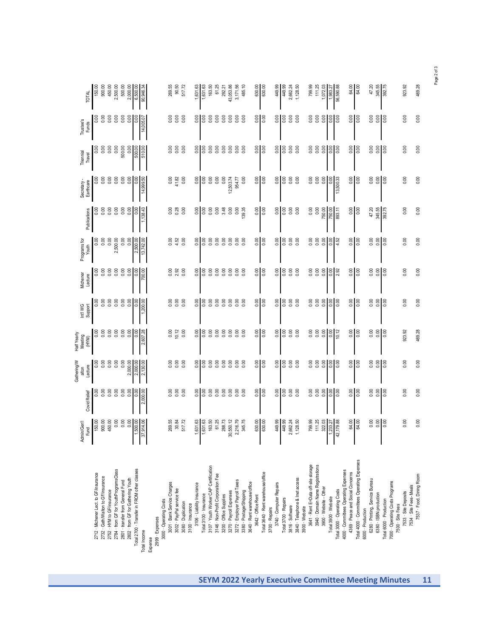|                                                     | Admin/Gen'l<br>Fund           | Covid Relief                        | Gathering/W<br>Lecture<br>alton     | Half Yearly<br>Meeting<br>(HYM) | Int'l WG<br>Support | Michener<br>Lecture | Programs for<br>Youth | Publications     | Secretary-<br>Earthcare     | Triennial<br>Travel | Trustee's<br>Funds | <b>TOTAL</b>              |
|-----------------------------------------------------|-------------------------------|-------------------------------------|-------------------------------------|---------------------------------|---------------------|---------------------|-----------------------|------------------|-----------------------------|---------------------|--------------------|---------------------------|
| 2712 · Michener Lect. to GF/insurance               | 150.00                        |                                     | 0.00                                | <b>0.00</b>                     | 0.00                | 0.00                | 8<br>0.00             | 0.00             | 0.00                        |                     | 0.00               | 150.00                    |
| 2732 · Gath/Walton to GF/insurance                  | 900.00                        |                                     | 0.00                                | 0.00                            | 0.00                | 0.00                | 0.00                  | 0.00             |                             | 0.00                | 0.00               | 900.00                    |
| 2752 - HYM to GF/insurance                          | 450.00                        | 0.00                                | 0.00                                | 0.00                            | 0.00                | 0.00                | 0.00                  | 0.00             | 0.00                        | 0.00                | 0.00               | 450.00                    |
| 2784 - from GF for YouthProgramsClass               | 0.00                          | 0.00                                | 0.00                                | 0.00                            | 0.00                | 0.00                | 2,500.00              | 0.00             | 0.00                        | 0.00                | 0.00               | 2,500.00                  |
| 2801 · transfer from General Fund                   |                               |                                     | 0.00                                | 0.00                            | 0.00                | 0.00                | 0.00                  | 0.00             | 0.00                        | 500.00              | 0.00               | 500.00                    |
| 2802 · from GF for Gathering Youth                  | 0.00                          |                                     | 2,000.00                            | 0.00                            | 0.00                | 0.00                | 0.00                  | 0.00             | 0.00                        | 0.00                | 0.00               | 2,000.00                  |
| Total 2700 · Transfer in FROM other classes         | ,500.00                       | 888                                 | 2,000.00                            | 0.00                            | 0.00                | 0.00                | 2,500.00              | 0.00             | 0.00                        | 500.00              | 0.00               | 6,500.00                  |
| Total Income                                        | 37,914.06                     | 2,000.00                            | 2,130.00                            | 2,607.28                        | ,200.00             | 700.00              | 13,742.00             | 1,138.43         | 14,999.50                   | 510.00              | 14,005.0           | 90,946.34                 |
| Expense                                             | $\blacksquare$                |                                     |                                     |                                 |                     |                     |                       |                  |                             |                     |                    |                           |
| 2999 · Expenses                                     |                               |                                     |                                     |                                 |                     |                     |                       |                  |                             |                     |                    |                           |
| 3000 · Operating Costs                              |                               |                                     |                                     |                                 |                     |                     |                       |                  |                             |                     |                    |                           |
| 3001 · Bank Service Charges                         | 269.55                        |                                     | 0.00                                | 0.00                            | 0.00                | 0.00                | $0.00$<br>$4.52$      | 0.00             |                             |                     | 0.00               | 269.55                    |
| 3002 - PayPal service fee                           | 30.84                         | 888<br>000                          | 0.00                                | 10.12                           | 0.00                | 2.92                |                       | 0.28             | $0.00$<br>$41.82$<br>$0.00$ |                     | 0.00               | 90.50                     |
| 3080 - Duplication                                  | 517.72                        |                                     | 0.00                                | 0.00                            |                     | 0.00                | 0.00                  | 0.00             |                             | 0.00                | 0.00               | 517.72                    |
| 3100 - Insurance                                    |                               |                                     |                                     |                                 |                     |                     |                       |                  |                             |                     |                    |                           |
| 3106 · Liability Insurance                          | ,631.63                       | 0.00                                | 0.00                                | 0.00                            | 0.00                | 0.00                | 0.00                  | 0.00             | 8.00                        | 0.00                | 0.00               | 631.63                    |
| Total 3100 · Insurance                              | 1,631.63                      | 8.00                                | 0.00                                | 0.00                            | 0.00                | 0.00                | 0.00                  | 0.00             | 0.00                        | 0.00                | 0.00               | 1,631.63                  |
| 3107 · Youth Worker CAP Certification               | 163.50                        | 0.00                                | 0.00                                | 0.00                            | 0.00                | 0.00                | 0.00                  | 0.00             | 0.00                        | 0.00                | 0.00               | 163.50                    |
| 3146 - Non-Profit Corporation Fee                   | 61.25                         | 0.00                                | 0.00                                | 0.00                            | 0.00                | 0.00                | 0.00                  | 0.00             | 0.00                        | 0.00                | 0.00               | 61.25                     |
| 3200 - Office Supplies                              | 288.73                        | 0.00                                | 0.00                                | 0.00                            | 0.00                | 0.00                | 0.00                  | 3.48             | 0.00                        | 0.00                | 0.00               | 292.21                    |
| 3270 · Payroll Expenses                             | ,550.12<br>S,                 | 0.00                                | 0.00                                | 0.00                            | 0.00                | 0.00                | 0.00                  | 0.00             | 12,503.74                   | 0.00                | 0.00               | 43,053.86                 |
| 3272 - Employer Payroll Taxes                       | 2,216.79                      | 0.00                                | 0.00                                | 0.00                            | 0.00                | 0.00                | 0.00                  | 0.00             | 954.77                      | 0.00                | 0.00               | 3,171.56                  |
| 3380 - Postage/Shipping                             | 345.75                        | 0.00                                | 0.00                                | 0.00                            |                     | 0.00                | 0.00                  | 139.35           | 0.00                        | 0.00                | 0.00               | 485.10                    |
| 3640 - Rent warehouse/office                        |                               |                                     |                                     |                                 |                     |                     |                       |                  |                             |                     |                    |                           |
| 3642 · Office Rent                                  | 630.00                        | 0.00                                | 0.00                                | 0.00                            | 0.00                | 0.00                | 0.0000                | 0.00             | 0.00                        | 0.00                | 0.00               | 630.00                    |
| Total 3640 - Rent warehouse/office                  | 630.00                        | 8.00                                | 0.00                                | 0.00                            | 0.00                | 0.00                |                       | 0.00             | 0.00                        | 0.00                | 0.00               | 630.00                    |
| 3700 · Repairs                                      |                               |                                     |                                     |                                 |                     |                     |                       |                  |                             |                     |                    |                           |
| 3740 · Computer Repairs                             | 449.99                        | 0.00                                | 0.00                                | 0.00                            | 0.00                | 0.00                | 0.00                  | 0.00             | 0.00                        | 0.00                | 0.00               | 449.99                    |
| Total 3700 - Repairs                                | 449.99                        | 0.00                                | 0.00                                | 0.00                            | 0.00                | 0.00                | 0.00                  | 0.00             | 0.00                        | 0.00                | 0.00               | 449.99                    |
| 3816 · Software                                     | 2,662.24                      |                                     | 0.00                                | 0.00                            | 0.00                | 0.00                | 0.00                  | 0.00             | 0.00                        | 0.00                | 0.00               | 2,662.24                  |
| 3840 · Telephone & Inet access                      | 1,128.50                      |                                     | 0.00                                | 0.00                            | 0.00                | 0.00                | 0.00                  | 0.00             | 0.00                        | 0.00                | 0.00               | 1,128.50                  |
| 3900 · Website                                      |                               |                                     |                                     |                                 |                     |                     |                       |                  |                             |                     |                    |                           |
| 3641 · Rent E=Data off-site storage                 | 799.99                        | 0.00                                | 0.00                                | 0.00                            | 0.00                | 0.00                | 0.00                  | 0.00             | 0.00                        | 0.00                | 0.00               | 799.99                    |
| 3940 - Domain Name Registrations                    | 111.25                        | 0.00                                | 0.00                                | 0.00                            | 0.00                | 0.00                | 0.00                  | 0.00             | 0.00                        | 0.00                | 0.00               | 111.25                    |
| 3900 - Website - Other                              | 322.03                        | 0.00                                | 0.00                                | 0.00                            | 0.00                | 0.00                | 0.00                  | 750.00           | 0.00                        | 0.00                | 0.00               | 1,072.03                  |
| Total 3900 · Website                                | ,233.27<br>$\mathbf{I}$<br>J, | 0.00                                | 0.00                                | 0.00                            | 0.00                | 0.00                | 0.00                  | 750.00           | 0.00                        | 0.00                | 0.00               | 1,983.27                  |
| Total 3000 · Operating Costs                        | 42,179.88                     | 0.00                                | 0.00                                | 10.12                           | 0.00                | 2.92                | 4.52                  | 893.11           | 13,500.33                   | 0.00                | 0.00               | 56,590.88                 |
| 4000 · Committees Operating Expenses                |                               |                                     |                                     |                                 |                     |                     |                       |                  |                             |                     |                    |                           |
| 4369 - Peace and Social Concerns                    | 64.00                         | 0.00                                | 0.00                                | 0.00                            | 0.00                | 0.00                | 0.00                  | 0.00             | 0.00                        | 0.00                | 0.00               | 64.00                     |
| Total 4000 - Committees Operating Expenses          | 64.00                         | 0.00                                | 0.00                                | 0.00                            | 0.00                | 0.00                | 0.00                  | 0.00             | 0.00                        | 0.00                | 0.00               | 64.00                     |
| 6000 - Production                                   |                               |                                     |                                     |                                 |                     |                     |                       |                  |                             |                     |                    |                           |
| 6280 - Printing, Service Bureau                     | 0.00                          | $rac{8}{3}$ $rac{8}{3}$ $rac{8}{3}$ | $rac{8}{5}$ $rac{8}{5}$ $rac{8}{5}$ | 0.00                            | 0.00                | 0.00                | 0.00                  | 47.20            | 0.00                        | 0.00                | 0.00               | 47.20<br>345.55<br>392.75 |
| 6380 - ISBN production                              | $\frac{0.00}{0.00}$<br>I      |                                     |                                     | $rac{8}{100}$                   | $\frac{8}{9}$       | $rac{0}{0.00}$      | $rac{8}{100}$         | 345.55<br>392.75 | $\frac{8}{9}$               | $rac{0}{0.00}$      | $\frac{8}{100}$    |                           |
| Total 6000 - Production                             |                               |                                     |                                     |                                 |                     |                     |                       |                  |                             |                     |                    |                           |
| 7000 - Operating Costs Programs<br>7500 - Site Fees |                               |                                     |                                     |                                 |                     |                     |                       |                  |                             |                     |                    |                           |
| 7533 - Site Deposits                                | 0.00                          | 0.00                                | 0.00                                | 923.92                          | 0.00                | 0.00                | 0.00                  | 0.00             | 0.00                        | 0.00                | 0.00               | 923.92                    |
| 7534 · Site Fees-Meals                              |                               |                                     |                                     |                                 |                     |                     |                       |                  |                             |                     |                    |                           |
| 7537 · Food, Dining Room                            | 0.00                          | 0.00                                | 0.00                                | 469.28                          | 0.00                | 0.00                | 0.00                  | 0.00             | 0.00                        | 0.00                | 0.00               | 469.28                    |
|                                                     |                               |                                     |                                     |                                 |                     |                     |                       |                  |                             |                     |                    |                           |

Page 2 of 3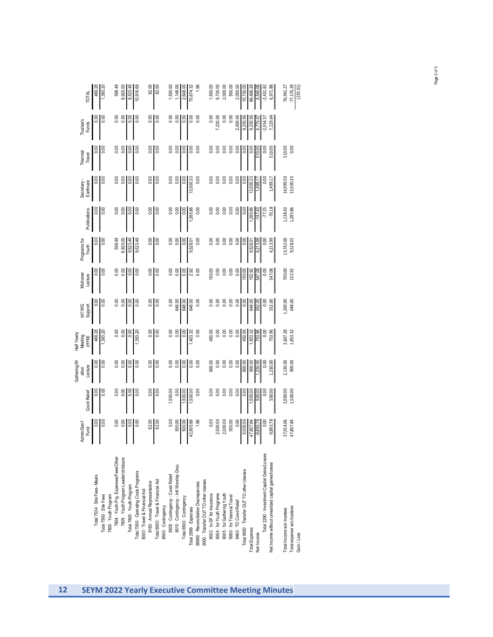|                                                                                                   |                    |              | Gathering/V      | Half Yearly      |                     |                     |                      |                |                         |                     |                           |              |
|---------------------------------------------------------------------------------------------------|--------------------|--------------|------------------|------------------|---------------------|---------------------|----------------------|----------------|-------------------------|---------------------|---------------------------|--------------|
|                                                                                                   | Admin/Gen'<br>Fund | Covid Relief | Lecture<br>alton | Meeting<br>(HYM) | Int'l WG<br>Support | Michener<br>Lecture | rograms for<br>Youth | Publications   | Secretary-<br>Earthcare | Triennial<br>Travel | <b>Trustee's</b><br>Funds | <b>TOTAL</b> |
| Total 7534 · Site Fees-Meals                                                                      |                    | 0.00         | 0.00             | 469.28           |                     |                     |                      |                | 0.00                    |                     |                           | 469.28       |
| Total 7500 · Site Fees                                                                            | 0.00               | 0.00         | 0.00             | 1,393.20         |                     |                     |                      |                | 0.00                    |                     |                           | 1,393.20     |
| 7800 · Youth Program                                                                              |                    |              |                  |                  |                     |                     |                      |                |                         |                     |                           |              |
| 7804 · Youth Prg. Expenses/Fees/Other                                                             |                    | 0.00         | 0.00             |                  |                     |                     | 598.49               |                | 0.00                    |                     |                           | 598.49       |
| 7805 - Youth Program Leader/childcare                                                             | 0.00               | 0.00         | 0.00             | $\frac{8}{2}$    | $\frac{8}{2}$       | 0.00                | 8,925.00             |                | 0.00                    | 0.00                | 0.00                      | 8,925.00     |
| Total 7800 - Youth Program                                                                        | $\frac{8}{10}$     | 0.00         | 0.00             | $\frac{8}{2}$    | 8                   | 8,00                | 9,523.49             |                | $\frac{8}{10}$          | $\frac{8}{2}$       |                           | 9,523.49     |
| Total 7000 · Operating Costs Programs                                                             |                    | 0.00         | 0.00             | 1,393.20         |                     |                     | 9,523.49             |                | 0.00                    | 0.00                |                           | 10,916.69    |
| 8000 - Travel & Financial Aid                                                                     |                    |              |                  |                  |                     |                     |                      |                |                         |                     |                           |              |
| 8160 - Annual Representative                                                                      | 62.00              | 0.00         | 0.00             | 0.00             | 0.00                | 0.00                | 0.00                 | 0.00           | 0.00                    | 0.00                | 0.00                      | 62.00        |
| Total 8000 - Travel & Financial Aid                                                               | 62.00              | 0.00         | 0.00             | 0.00             | 0.00                | 0.00                | 0.00                 | 0.00           | 0.00                    | 0.00                | 0.00                      | 62.00        |
|                                                                                                   |                    |              |                  |                  |                     |                     |                      |                |                         |                     |                           |              |
|                                                                                                   | $\frac{8}{10}$     | 1,500.00     | 0.00             | 8.00             | 0.00                | 0.00                | 8.00                 |                | 0.00                    | 8<br>0.00           |                           | 1,500.00     |
| 8500 · Contingency<br>8505 · Contingency - Covid Relief<br>8510 · Contingency - Intl Worship Grou | 500.00             | 0.00         | 0.00             | 0.00             | 648.00              | 0.00                | 0.00                 | 0.00           | 0.00                    | 0.00                | 0.00                      | 1,148.00     |
| Total 8500 - Contingency                                                                          | 500.00             | 1,500.00     | 0.00             | 0.00             | 648.00              | 0.00                | $\frac{8}{3}$        | 0.00           | 0.00                    | $\frac{8}{2}$       | 0.00                      | 2,648.00     |
| Total 2999 - Expenses                                                                             | 42,805.88          | 1,500.00     | 0.00             | 1,403.32         | 648.00              | 2.92                | 9,528.01             | 1,285.86       | 13,500.33               | 0.00                |                           | 70,674.32    |
| 66900 - Reconciliation Discrepancies                                                              |                    | 0.00         | 0.00             | 0.00             | 0.00                | 0.00                | 0.00                 | 0.00           | 0.00                    | 0.00                | 0.00                      | 1.96         |
| 9000 · Transfer OUT TO other classes                                                              |                    |              |                  |                  |                     |                     |                      |                |                         |                     |                           |              |
| 9002 - to GF for insurance                                                                        | 0.00               |              | 00.00            | 450.00           |                     | 50.00               |                      |                |                         |                     | 0.00                      | 1,500.00     |
|                                                                                                   | 2,500.00           | 0.00         | 0.00             | 0.00             | 0.00                | 0.00                |                      |                | 0.00                    | 0.00                | 7,230.00                  | 9,730.00     |
| 9004 · for Youth Programs<br>9005 · for Gathering Youth                                           | 2,000.00           | 0.00         | 0.00             | $\frac{8}{10}$   | 0.00                | 0.00                | 0.00                 | $\frac{8}{10}$ | 0.00                    | 0.00                | 0.00                      | 2,000.00     |
| 9060 - for Triennial Travel<br>9460 - TO Covid Relief                                             | 500.00             | 0.00         | 0.00             | 0.00             | 0.00                | 0.00                | 0.00                 | 0.00           | 0.00                    | 0.00                | 0.00                      | 500.00       |
|                                                                                                   | 0.00               | 0.00         | 0.00             | $\frac{8}{10}$   | 0.00                | 0.00                | 0.00                 | $\frac{8}{10}$ | 0.00                    | 0.00                | 2,000.00                  | 2,000.00     |
| Total 9000 - Transfer OUT TO other classes                                                        | 5,000.00           | 0.00         | 900.00           | 450.00           | $\frac{8}{2}$       | 150.00              | $\frac{8}{2}$        | 0.00           | $\frac{8}{2}$           | 8                   | 9,230.00                  | 15,730.0     |
| Total Expense                                                                                     | 47,807.84          | 1,500.00     | 900.00           | 1,853.32         | 648.00              | 152.92              | 9,528.01             | 1,285.86       | 13,500.33               | $\frac{8}{10}$      | 9,230.0                   | 86,406.28    |
| Net Income                                                                                        | $-9,893.7$         | 500.00       | 1,230.0          | 753.             | 552.00              | 547.08              | 4,213.               | $-147.43$      | 1,499.1                 | 510.00              | 4,775.                    | 4,540.0      |
| Total 2290 - Investment Capital Gains/Losses                                                      | 0.00               | 0.00         | <b>0.00</b>      | 0.00             | 0.00                | 0.00                | 0.00                 | $-77.25$       | 0.00                    | 0.00                | $-2,354.57$               | $-2,431.82$  |
| Net Income without unrealized capital gaines/losses                                               | $-9,893.78$        | 500.00       | 1,230.00         | 753.96           | 552.00              | 547.08              | 4,213.99             | $-70.18$       | 1,499.17                | 510.00              | 7,129.64                  | 6,971.88     |
| Total Income w/o trustees                                                                         | 37,914.06          | 2,000.00     | 2,130.00         | 2,607.28         | 1,200.00            |                     | 13,742.00            | 1,138.43       | 14,999.50               | 510.00              |                           | 76,941.27    |
| Total expense w/o trustees                                                                        | 47,807.84          | 1,500.00     | 900.00           | 1,853.32         | 648.00              | 700.00<br>152.92    | 9,528.01             | 1,285.86       | 13,500.33               | 0.00                |                           | 77,176.28    |
| Gain / Loss                                                                                       |                    |              |                  |                  |                     |                     |                      |                |                         |                     |                           | (235.01)     |

Page 3 of 3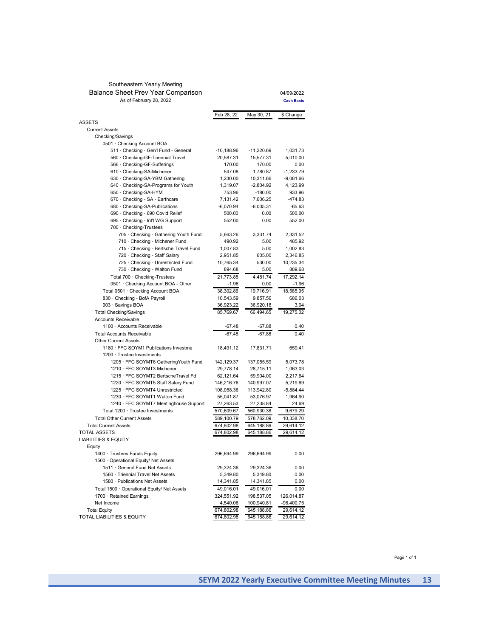#### Southeastern Yearly Meeting Balance Sheet Prev Year Comparison As of February 28, 2022

| As of February 28, 2022                                               |                         |                         | <b>Cash Basis</b>  |
|-----------------------------------------------------------------------|-------------------------|-------------------------|--------------------|
|                                                                       | Feb 28, 22              | May 30, 21              | \$ Change          |
| ASSETS                                                                |                         |                         |                    |
| <b>Current Assets</b>                                                 |                         |                         |                    |
| Checking/Savings                                                      |                         |                         |                    |
| 0501 · Checking Account BOA                                           |                         |                         |                    |
| 511 · Checking - Gen'l Fund - General                                 | $-10,188.96$            | $-11,220.69$            | 1.031.73           |
| 560 · Checking-GF-Triennial Travel                                    | 20,587.31               | 15,577.31               | 5,010.00           |
| 566 · Checking-GF-Sufferings                                          | 170.00                  | 170.00                  | 0.00               |
| 610 Checking-SA-Michener                                              | 547.08                  | 1,780.87                | $-1,233.79$        |
| 630 Checking-SA-YBM Gathering<br>640 · Checking-SA-Programs for Youth | 1,230.00<br>1,319.07    | 10,311.66               | -9,081.66          |
|                                                                       | 753.96                  | $-2,804.92$             | 4,123.99<br>933.96 |
| 650 · Checking-SA-HYM                                                 |                         | $-180.00$               | -474.83            |
| 670 · Checking - SA - Earthcare                                       | 7,131.42<br>$-6,070.94$ | 7,606.25<br>$-6,005.31$ | $-65.63$           |
| 680 Checking-SA-Publications<br>690 · Checking - 690 Covid Relief     | 500.00                  | 0.00                    |                    |
| 695 · Checking - Int'l WG Support                                     | 552.00                  | 0.00                    | 500.00<br>552.00   |
| 700 Checking-Trustees                                                 |                         |                         |                    |
| 705 · Checking - Gathering Youth Fund                                 | 5,663.26                | 3,331.74                | 2,331.52           |
| 710 · Checking - Michener Fund                                        | 490.92                  | 5.00                    | 485.92             |
| 715 · Checking - Bertsche Travel Fund                                 | 1,007.83                | 5.00                    | 1,002.83           |
| 720 · Checking - Staff Salary                                         | 2,951.85                | 605.00                  | 2,346.85           |
| 725 · Checking - Unrestricted Fund                                    | 10,765.34               | 530.00                  | 10,235.34          |
| 730 · Checking - Walton Fund                                          | 894.68                  | 5.00                    | 889.68             |
| Total 700 · Checking-Trustees                                         | 21,773.88               | 4.481.74                | 17,292.14          |
| 0501 · Checking Account BOA - Other                                   | $-1.96$                 | 0.00                    | $-1.96$            |
| Total 0501 · Checking Account BOA                                     | 38,302.86               | 19,716.91               | 18,585.95          |
| 830 · Checking - BofA Payroll                                         | 10,543.59               | 9,857.56                | 686.03             |
| 903 · Savings BOA                                                     | 36,923.22               | 36,920.18               | 3.04               |
| <b>Total Checking/Savings</b>                                         | 85,769.67               | 66,494.65               | 19,275.02          |
| <b>Accounts Receivable</b>                                            |                         |                         |                    |
| 1100 · Accounts Receivable                                            | -67.48                  | -67.88                  | 0.40               |
| <b>Total Accounts Receivable</b>                                      | $-67.48$                | $-67.88$                | 0.40               |
| <b>Other Current Assets</b>                                           |                         |                         |                    |
| 1180 · FFC SOYM1 Publications Investme                                | 18,491.12               | 17,831.71               | 659.41             |
| 1200 · Trustee Investments                                            |                         |                         |                    |
| 1205 · FFC SOYMT6 GatheringYouth Fund                                 | 142,129.37              | 137,055.59              | 5,073.78           |
| 1210 · FFC SOYMT3 Michener                                            | 29,778.14               | 28,715.11               | 1,063.03           |
| 1215 · FFC SOYMT2 BertscheTravel Fd                                   | 62,121.64               | 59,904.00               | 2,217.64           |
| 1220 · FFC SOYMT5 Staff Salary Fund                                   | 146,216.76              | 140,997.07              | 5,219.69           |
| 1225 · FFC SOYMT4 Unrestricted                                        | 108,058.36              | 113,942.80              | -5,884.44          |
| 1230 · FFC SOYMT1 Walton Fund                                         | 55,041.87               | 53,076.97               | 1,964.90           |
| 1240 · FFC SOYMT7 Meetinghouse Support                                | 27,263.53               | 27,238.84               | 24.69              |
| Total 1200 · Trustee Investments                                      | 570,609.67              | 560,930.38              | 9,679.29           |
| <b>Total Other Current Assets</b>                                     | 589,100.79              | 578,762.09              | 10,338.70          |
| <b>Total Current Assets</b>                                           | 674,802.98              | 645,188.86              | 29,614.12          |
| <b>TOTAL ASSETS</b>                                                   | 674,802.98              | 645,188.86              | 29,614.12          |
| <b>LIABILITIES &amp; EQUITY</b>                                       |                         |                         |                    |
| Equity                                                                |                         |                         |                    |
| 1400 · Trustees Funds Equity                                          | 296,694.99              | 296,694.99              | 0.00               |
| 1500 Operational Equity/ Net Assets                                   |                         |                         |                    |
| 1511 · General Fund Net Assets                                        | 29,324.36               | 29,324.36               | 0.00               |
| 1560 · Triennial Travel Net Assets                                    | 5,349.80                | 5,349.80                | 0.00               |
| 1580 · Publications Net Assets                                        | 14,341.85               | 14,341.85               | 0.00               |
| Total 1500 · Operational Equity/ Net Assets                           | 49,016.01               | 49,016.01               | 0.00               |
| 1700 · Retained Earnings                                              | 324,551.92              | 198,537.05              | 126,014.87         |
| Net Income                                                            | 4,540.06                | 100,940.81              | -96,400.75         |
| <b>Total Equity</b>                                                   | 674,802.98              | 645,188.86              | 29,614.12          |
| TOTAL LIABILITIES & EQUITY                                            | 674,802.98              | 645,188.86              | 29,614.12          |
|                                                                       |                         |                         |                    |

Page 1 of 1

04/09/2022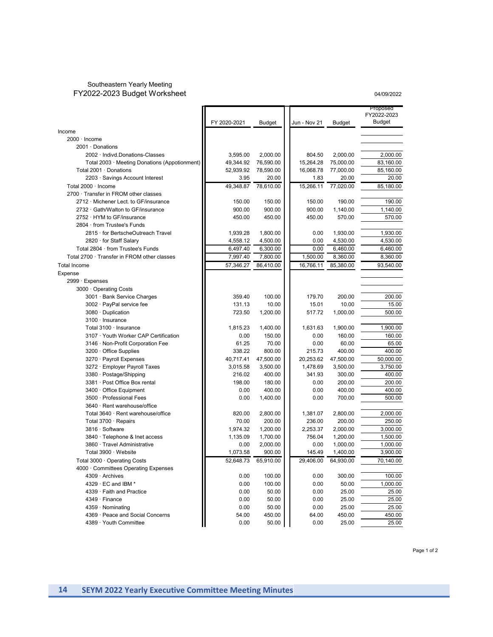### Southeastern Yearly Meeting FY2022-2023 Budget Worksheet

#### 04/09/2022

|                                               |                  |                    |                |                      | Proposed                     |
|-----------------------------------------------|------------------|--------------------|----------------|----------------------|------------------------------|
|                                               |                  |                    |                |                      | FY2022-2023<br><b>Budget</b> |
|                                               | FY 2020-2021     | <b>Budget</b>      | Jun - Nov 21   | <b>Budget</b>        |                              |
| Income                                        |                  |                    |                |                      |                              |
| 2000 · Income                                 |                  |                    |                |                      |                              |
| 2001 · Donations                              |                  |                    |                |                      |                              |
| 2002 · Indivd.Donations-Classes               | 3,595.00         | 2,000.00           | 804.50         | 2,000.00             | 2,000.00                     |
| Total 2003 · Meeting Donations (Appotionment) | 49,344.92        | 76,590.00          | 15,264.28      | 75,000.00            | 83,160.00                    |
| Total 2001 · Donations                        | 52,939.92        | 78,590.00          | 16,068.78      | 77,000.00            | 85,160.00                    |
| 2203 · Savings Account Interest               | 3.95             | 20.00              | 1.83           | 20.00                | 20.00                        |
| Total 2000 · Income                           | 49.348.87        | 78,610.00          | 15,266.11      | 77,020.00            | 85,180.00                    |
| 2700 · Transfer in FROM other classes         |                  |                    |                |                      |                              |
| 2712 · Michener Lect. to GF/insurance         | 150.00           | 150.00             | 150.00         | 190.00               | 190.00                       |
| 2732 · Gath/Walton to GF/insurance            | 900.00           | 900.00             | 900.00         | 1,140.00             | 1,140.00                     |
| 2752 · HYM to GF/insurance                    | 450.00           | 450.00             | 450.00         | 570.00               | 570.00                       |
| 2804 · from Trustee's Funds                   |                  |                    |                |                      |                              |
| 2815 · for BertscheOutreach Travel            | 1,939.28         | 1,800.00           | 0.00           | 1,930.00             | 1,930.00                     |
| 2820 · for Staff Salary                       | 4,558.12         | 4,500.00           | 0.00           | 4,530.00             | 4,530.00                     |
| Total 2804 · from Trustee's Funds             | 6,497.40         | 6,300.00           | 0.00           | 6,460.00             | 6,460.00                     |
| Total 2700 · Transfer in FROM other classes   | 7,997.40         | 7,800.00           | 1,500.00       | 8,360.00             | 8,360.00                     |
| <b>Total Income</b>                           | 57,346.27        | 86,410.00          | 16,766.11      | 85,380.00            | 93,540.00                    |
| Expense                                       |                  |                    |                |                      |                              |
| 2999 · Expenses                               |                  |                    |                |                      |                              |
| 3000 · Operating Costs                        |                  |                    |                |                      |                              |
| 3001 · Bank Service Charges                   | 359.40           | 100.00             | 179.70         | 200.00               | 200.00                       |
| 3002 · PayPal service fee                     | 131.13           | 10.00              | 15.01          | 10.00                | 15.00                        |
| 3080 · Duplication                            | 723.50           | 1,200.00           | 517.72         | 1,000.00             | 500.00                       |
| 3100 · Insurance                              |                  |                    |                |                      |                              |
| Total 3100 · Insurance                        | 1,815.23         | 1,400.00           | 1,631.63       | 1,900.00             | 1,900.00                     |
| 3107 · Youth Worker CAP Certification         | 0.00             | 150.00             | 0.00           | 160.00               | 160.00                       |
| 3146 · Non-Profit Corporation Fee             | 61.25            | 70.00              | 0.00           | 60.00                | 65.00                        |
| 3200 · Office Supplies                        | 338.22           | 800.00             | 215.73         | 400.00               | 400.00                       |
| 3270 · Payroll Expenses                       | 40,717.41        | 47,500.00          | 20,253.62      | 47,500.00            | 50,000.00                    |
| 3272 · Employer Payroll Taxes                 | 3,015.58         | 3,500.00           | 1,478.69       | 3,500.00             | 3,750.00                     |
| 3380 · Postage/Shipping                       | 216.02           | 400.00             | 341.93         | 300.00               | 400.00                       |
| 3381 · Post Office Box rental                 | 198.00           | 180.00             | 0.00           | 200.00               | 200.00                       |
| 3400 · Office Equipment                       | 0.00             | 400.00             | 0.00           | 400.00               | 400.00                       |
| 3500 · Professional Fees                      | 0.00             | 1,400.00           | 0.00           | 700.00               | 500.00                       |
| 3640 · Rent warehouse/office                  |                  |                    |                |                      |                              |
| Total 3640 · Rent warehouse/office            | 820.00           | 2,800.00           | 1,381.07       | 2,800.00             | 2,000.00                     |
| Total 3700 · Repairs                          | 70.00            | 200.00             | 236.00         | 200.00               | 250.00                       |
| 3816 · Software                               | 1,974.32         | 1,200.00           | 2,253.37       | 2,000.00             | 3,000.00                     |
| 3840 · Telephone & Inet access                | 1,135.09         | 1,700.00           | 756.04         | 1,200.00             | 1,500.00                     |
| 3860 · Travel Administrative                  |                  |                    |                |                      |                              |
| Total 3900 · Website                          | 0.00<br>1,073.58 | 2,000.00<br>900.00 | 0.00<br>145.49 | 1,000.00<br>1,400.00 | 1,000.00<br>3,900.00         |
|                                               |                  |                    |                |                      |                              |
| Total 3000 · Operating Costs                  | 52,648.73        | 65,910.00          | 29,406.00      | 64,930.00            | 70,140.00                    |
| 4000 Committees Operating Expenses            |                  |                    |                |                      |                              |
| 4309 · Archives                               | 0.00             | 100.00             | 0.00           | 300.00               | 100.00                       |
| $4329 \cdot EC$ and IBM $^*$                  | 0.00             | 100.00             | 0.00           | 50.00                | 1,000.00                     |
| 4339 · Faith and Practice                     | 0.00             | 50.00              | 0.00           | 25.00                | 25.00                        |
| 4349 · Finance                                | 0.00             | 50.00              | 0.00           | 25.00                | 25.00                        |
| 4359 · Nominating                             | 0.00             | 50.00              | 0.00           | 25.00                | 25.00                        |
| 4369 · Peace and Social Concerns              | 54.00            | 450.00             | 64.00          | 450.00               | 450.00                       |
| 4389 · Youth Committee                        | 0.00             | 50.00              | 0.00           | 25.00                | 25.00                        |

Page 1 of 2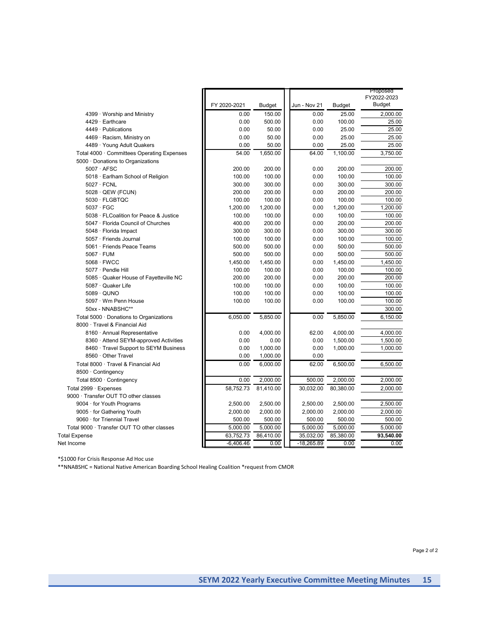|                                            |              |               |              |               | Proposed<br>FY2022-2023 |
|--------------------------------------------|--------------|---------------|--------------|---------------|-------------------------|
|                                            | FY 2020-2021 | <b>Budget</b> | Jun - Nov 21 | <b>Budget</b> | <b>Budget</b>           |
| $4399 \cdot$ Worship and Ministry          | 0.00         | 150.00        | 0.00         | 25.00         | 2,000.00                |
| 4429 · Earthcare                           | 0.00         | 500.00        | 0.00         | 100.00        | 25.00                   |
| 4449 · Publications                        | 0.00         | 50.00         | 0.00         | 25.00         | 25.00                   |
| 4469 · Racism, Ministry on                 | 0.00         | 50.00         | 0.00         | 25.00         | 25.00                   |
| 4489 · Young Adult Quakers                 | 0.00         | 50.00         | 0.00         | 25.00         | 25.00                   |
| Total 4000 · Committees Operating Expenses | 54.00        | 1,650.00      | 64.00        | 1,100.00      | 3,750.00                |
| 5000 · Donations to Organizations          |              |               |              |               |                         |
| $5007 \cdot AFSC$                          | 200.00       | 200.00        | 0.00         | 200.00        | 200.00                  |
| 5018 · Earlham School of Religion          | 100.00       | 100.00        | 0.00         | 100.00        | 100.00                  |
| $5027 \cdot FCNL$                          | 300.00       | 300.00        | 0.00         | 300.00        | 300.00                  |
| 5028 · QEW (FCUN)                          | 200.00       | 200.00        | 0.00         | 200.00        | 200.00                  |
| 5030 · FLGBTQC                             | 100.00       | 100.00        | 0.00         | 100.00        | 100.00                  |
| $5037 \cdot FGC$                           | 1,200.00     | 1,200.00      | 0.00         | 1,200.00      | 1,200.00                |
| 5038 · FLCoalition for Peace & Justice     | 100.00       | 100.00        | 0.00         | 100.00        | 100.00                  |
| 5047 · Florida Council of Churches         | 400.00       | 200.00        | 0.00         | 200.00        | 200.00                  |
| 5048 · Florida Impact                      | 300.00       | 300.00        | 0.00         | 300.00        | 300.00                  |
| 5057 · Friends Journal                     | 100.00       | 100.00        | 0.00         | 100.00        | 100.00                  |
| 5061 · Friends Peace Teams                 | 500.00       | 500.00        | 0.00         | 500.00        | 500.00                  |
| $5067 \cdot FUM$                           | 500.00       | 500.00        | 0.00         | 500.00        | 500.00                  |
| $5068 \cdot$ FWCC                          | 1,450.00     | 1,450.00      | 0.00         | 1,450.00      | 1,450.00                |
| 5077 · Pendle Hill                         | 100.00       | 100.00        | 0.00         | 100.00        | 100.00                  |
| 5085 · Quaker House of Fayetteville NC     | 200.00       | 200.00        | 0.00         | 200.00        | 200.00                  |
| 5087 · Quaker Life                         | 100.00       | 100.00        | 0.00         | 100.00        | 100.00                  |
| 5089 · QUNO                                | 100.00       | 100.00        | 0.00         | 100.00        | 100.00                  |
| 5097 · Wm Penn House                       | 100.00       | 100.00        | 0.00         | 100.00        | 100.00                  |
| 50xx - NNABSHC**                           |              |               |              |               | 300.00                  |
| Total 5000 · Donations to Organizations    | 6,050.00     | 5,850.00      | 0.00         | 5,850.00      | 6,150.00                |
| 8000 · Travel & Financial Aid              |              |               |              |               |                         |
| 8160 · Annual Representative               | 0.00         | 4,000.00      | 62.00        | 4,000.00      | 4,000.00                |
| 8360 · Attend SEYM-approved Activities     | 0.00         | 0.00          | 0.00         | 1,500.00      | 1,500.00                |
| 8460 · Travel Support to SEYM Business     | 0.00         | 1,000.00      | 0.00         | 1,000.00      | 1,000.00                |
| 8560 · Other Travel                        | 0.00         | 1,000.00      | 0.00         |               |                         |
| Total 8000 · Travel & Financial Aid        | 0.00         | 6,000.00      | 62.00        | 6,500.00      | 6,500.00                |
| 8500 · Contingency                         |              |               |              |               |                         |
| Total 8500 · Contingency                   | 0.00         | 2,000.00      | 500.00       | 2,000.00      | 2,000.00                |
| Total 2999 · Expenses                      | 58,752.73    | 81,410.00     | 30,032.00    | 80,380.00     | 2,000.00                |
| 9000 · Transfer OUT TO other classes       |              |               |              |               |                         |
| 9004 · for Youth Programs                  | 2,500.00     | 2,500.00      | 2,500.00     | 2,500.00      | 2,500.00                |
| 9005 · for Gathering Youth                 | 2,000.00     | 2,000.00      | 2,000.00     | 2,000.00      | 2,000.00                |
| 9060 · for Triennial Travel                | 500.00       | 500.00        | 500.00       | 500.00        | 500.00                  |
| Total 9000 · Transfer OUT TO other classes | 5,000.00     | 5,000.00      | 5,000.00     | 5,000.00      | 5,000.00                |
| <b>Total Expense</b>                       | 63,752.73    | 86,410.00     | 35,032.00    | 85,380.00     | 93.540.00               |
| Net Income                                 | $-6,406.46$  | 0.00          | $-18,265.89$ | 0.00          | 0.00                    |

\*\$1000 For Crisis Response Ad Hoc use

\*\*NNABSHC = National Native American Boarding School Healing Coalition \*request from CMOR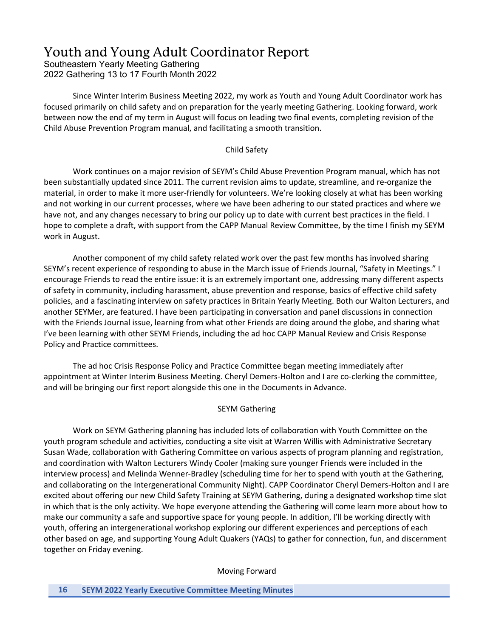# Youth and Young Adult Coordinator Report

Southeastern Yearly Meeting Gathering 2022 Gathering 13 to 17 Fourth Month 2022

Since Winter Interim Business Meeting 2022, my work as Youth and Young Adult Coordinator work has focused primarily on child safety and on preparation for the yearly meeting Gathering. Looking forward, work between now the end of my term in August will focus on leading two final events, completing revision of the Child Abuse Prevention Program manual, and facilitating a smooth transition.

### Child Safety

Work continues on a major revision of SEYM's Child Abuse Prevention Program manual, which has not been substantially updated since 2011. The current revision aims to update, streamline, and re-organize the material, in order to make it more user-friendly for volunteers. We're looking closely at what has been working and not working in our current processes, where we have been adhering to our stated practices and where we have not, and any changes necessary to bring our policy up to date with current best practices in the field. I hope to complete a draft, with support from the CAPP Manual Review Committee, by the time I finish my SEYM work in August.

Another component of my child safety related work over the past few months has involved sharing SEYM's recent experience of responding to abuse in the March issue of Friends Journal, "Safety in Meetings." I encourage Friends to read the entire issue: it is an extremely important one, addressing many different aspects of safety in community, including harassment, abuse prevention and response, basics of effective child safety policies, and a fascinating interview on safety practices in Britain Yearly Meeting. Both our Walton Lecturers, and another SEYMer, are featured. I have been participating in conversation and panel discussions in connection with the Friends Journal issue, learning from what other Friends are doing around the globe, and sharing what I've been learning with other SEYM Friends, including the ad hoc CAPP Manual Review and Crisis Response Policy and Practice committees.

The ad hoc Crisis Response Policy and Practice Committee began meeting immediately after appointment at Winter Interim Business Meeting. Cheryl Demers-Holton and I are co-clerking the committee, and will be bringing our first report alongside this one in the Documents in Advance.

## SEYM Gathering

Work on SEYM Gathering planning has included lots of collaboration with Youth Committee on the youth program schedule and activities, conducting a site visit at Warren Willis with Administrative Secretary Susan Wade, collaboration with Gathering Committee on various aspects of program planning and registration, and coordination with Walton Lecturers Windy Cooler (making sure younger Friends were included in the interview process) and Melinda Wenner-Bradley (scheduling time for her to spend with youth at the Gathering, and collaborating on the Intergenerational Community Night). CAPP Coordinator Cheryl Demers-Holton and I are excited about offering our new Child Safety Training at SEYM Gathering, during a designated workshop time slot in which that is the only activity. We hope everyone attending the Gathering will come learn more about how to make our community a safe and supportive space for young people. In addition, I'll be working directly with youth, offering an intergenerational workshop exploring our different experiences and perceptions of each other based on age, and supporting Young Adult Quakers (YAQs) to gather for connection, fun, and discernment together on Friday evening.

Moving Forward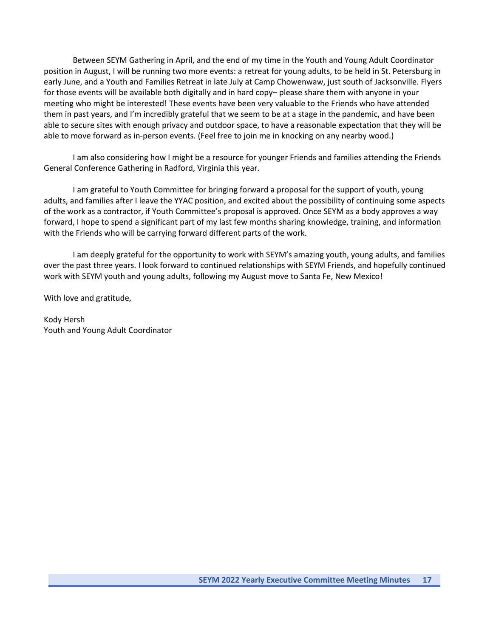Between SEYM Gathering in April, and the end of my time in the Youth and Young Adult Coordinator position in August, I will be running two more events: a retreat for young adults, to be held in St. Petersburg in early June, and a Youth and Families Retreat in late July at Camp Chowenwaw, just south of Jacksonville. Flyers for those events will be available both digitally and in hard copy– please share them with anyone in your meeting who might be interested! These events have been very valuable to the Friends who have attended them in past years, and I'm incredibly grateful that we seem to be at a stage in the pandemic, and have been able to secure sites with enough privacy and outdoor space, to have a reasonable expectation that they will be able to move forward as in-person events. (Feel free to join me in knocking on any nearby wood.)

I am also considering how I might be a resource for younger Friends and families attending the Friends General Conference Gathering in Radford, Virginia this year.

I am grateful to Youth Committee for bringing forward a proposal for the support of youth, young adults, and families after I leave the YYAC position, and excited about the possibility of continuing some aspects of the work as a contractor, if Youth Committee's proposal is approved. Once SEYM as a body approves a way forward, I hope to spend a significant part of my last few months sharing knowledge, training, and information with the Friends who will be carrying forward different parts of the work.

I am deeply grateful for the opportunity to work with SEYM's amazing youth, young adults, and families over the past three years. I look forward to continued relationships with SEYM Friends, and hopefully continued work with SEYM youth and young adults, following my August move to Santa Fe, New Mexico!

With love and gratitude,

Kody Hersh Youth and Young Adult Coordinator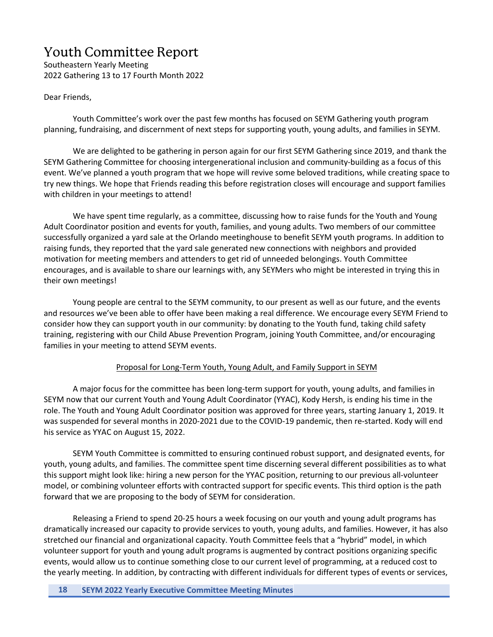# Youth Committee Report

Southeastern Yearly Meeting 2022 Gathering 13 to 17 Fourth Month 2022

## Dear Friends,

Youth Committee's work over the past few months has focused on SEYM Gathering youth program planning, fundraising, and discernment of next steps for supporting youth, young adults, and families in SEYM.

We are delighted to be gathering in person again for our first SEYM Gathering since 2019, and thank the SEYM Gathering Committee for choosing intergenerational inclusion and community-building as a focus of this event. We've planned a youth program that we hope will revive some beloved traditions, while creating space to try new things. We hope that Friends reading this before registration closes will encourage and support families with children in your meetings to attend!

We have spent time regularly, as a committee, discussing how to raise funds for the Youth and Young Adult Coordinator position and events for youth, families, and young adults. Two members of our committee successfully organized a yard sale at the Orlando meetinghouse to benefit SEYM youth programs. In addition to raising funds, they reported that the yard sale generated new connections with neighbors and provided motivation for meeting members and attenders to get rid of unneeded belongings. Youth Committee encourages, and is available to share our learnings with, any SEYMers who might be interested in trying this in their own meetings!

Young people are central to the SEYM community, to our present as well as our future, and the events and resources we've been able to offer have been making a real difference. We encourage every SEYM Friend to consider how they can support youth in our community: by donating to the Youth fund, taking child safety training, registering with our Child Abuse Prevention Program, joining Youth Committee, and/or encouraging families in your meeting to attend SEYM events.

### Proposal for Long-Term Youth, Young Adult, and Family Support in SEYM

A major focus for the committee has been long-term support for youth, young adults, and families in SEYM now that our current Youth and Young Adult Coordinator (YYAC), Kody Hersh, is ending his time in the role. The Youth and Young Adult Coordinator position was approved for three years, starting January 1, 2019. It was suspended for several months in 2020-2021 due to the COVID-19 pandemic, then re-started. Kody will end his service as YYAC on August 15, 2022.

SEYM Youth Committee is committed to ensuring continued robust support, and designated events, for youth, young adults, and families. The committee spent time discerning several different possibilities as to what this support might look like: hiring a new person for the YYAC position, returning to our previous all-volunteer model, or combining volunteer efforts with contracted support for specific events. This third option is the path forward that we are proposing to the body of SEYM for consideration.

Releasing a Friend to spend 20-25 hours a week focusing on our youth and young adult programs has dramatically increased our capacity to provide services to youth, young adults, and families. However, it has also stretched our financial and organizational capacity. Youth Committee feels that a "hybrid" model, in which volunteer support for youth and young adult programs is augmented by contract positions organizing specific events, would allow us to continue something close to our current level of programming, at a reduced cost to the yearly meeting. In addition, by contracting with different individuals for different types of events or services,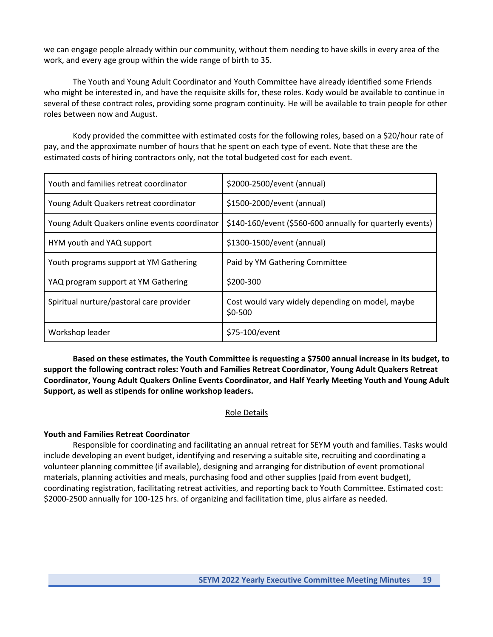we can engage people already within our community, without them needing to have skills in every area of the work, and every age group within the wide range of birth to 35.

The Youth and Young Adult Coordinator and Youth Committee have already identified some Friends who might be interested in, and have the requisite skills for, these roles. Kody would be available to continue in several of these contract roles, providing some program continuity. He will be available to train people for other roles between now and August.

Kody provided the committee with estimated costs for the following roles, based on a \$20/hour rate of pay, and the approximate number of hours that he spent on each type of event. Note that these are the estimated costs of hiring contractors only, not the total budgeted cost for each event.

| Youth and families retreat coordinator        | \$2000-2500/event (annual)                                   |
|-----------------------------------------------|--------------------------------------------------------------|
| Young Adult Quakers retreat coordinator       | \$1500-2000/event (annual)                                   |
| Young Adult Quakers online events coordinator | \$140-160/event (\$560-600 annually for quarterly events)    |
| HYM youth and YAQ support                     | \$1300-1500/event (annual)                                   |
| Youth programs support at YM Gathering        | Paid by YM Gathering Committee                               |
| YAQ program support at YM Gathering           | \$200-300                                                    |
| Spiritual nurture/pastoral care provider      | Cost would vary widely depending on model, maybe<br>$$0-500$ |
| Workshop leader                               | \$75-100/event                                               |

**Based on these estimates, the Youth Committee is requesting a \$7500 annual increase in its budget, to support the following contract roles: Youth and Families Retreat Coordinator, Young Adult Quakers Retreat Coordinator, Young Adult Quakers Online Events Coordinator, and Half Yearly Meeting Youth and Young Adult Support, as well as stipends for online workshop leaders.**

### Role Details

### **Youth and Families Retreat Coordinator**

Responsible for coordinating and facilitating an annual retreat for SEYM youth and families. Tasks would include developing an event budget, identifying and reserving a suitable site, recruiting and coordinating a volunteer planning committee (if available), designing and arranging for distribution of event promotional materials, planning activities and meals, purchasing food and other supplies (paid from event budget), coordinating registration, facilitating retreat activities, and reporting back to Youth Committee. Estimated cost: \$2000-2500 annually for 100-125 hrs. of organizing and facilitation time, plus airfare as needed.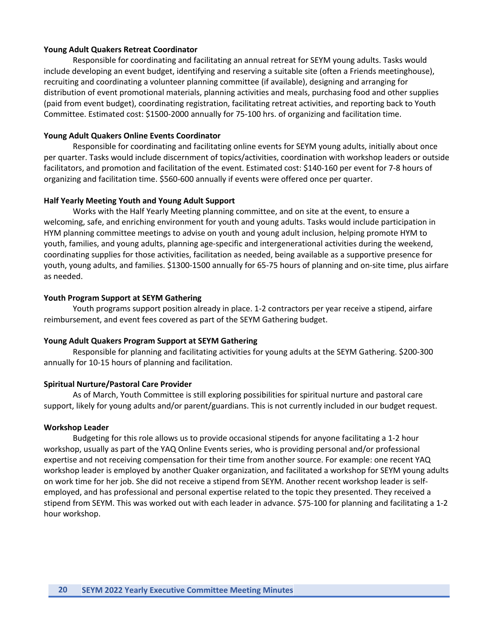### **Young Adult Quakers Retreat Coordinator**

Responsible for coordinating and facilitating an annual retreat for SEYM young adults. Tasks would include developing an event budget, identifying and reserving a suitable site (often a Friends meetinghouse), recruiting and coordinating a volunteer planning committee (if available), designing and arranging for distribution of event promotional materials, planning activities and meals, purchasing food and other supplies (paid from event budget), coordinating registration, facilitating retreat activities, and reporting back to Youth Committee. Estimated cost: \$1500-2000 annually for 75-100 hrs. of organizing and facilitation time.

#### **Young Adult Quakers Online Events Coordinator**

Responsible for coordinating and facilitating online events for SEYM young adults, initially about once per quarter. Tasks would include discernment of topics/activities, coordination with workshop leaders or outside facilitators, and promotion and facilitation of the event. Estimated cost: \$140-160 per event for 7-8 hours of organizing and facilitation time. \$560-600 annually if events were offered once per quarter.

### **Half Yearly Meeting Youth and Young Adult Support**

Works with the Half Yearly Meeting planning committee, and on site at the event, to ensure a welcoming, safe, and enriching environment for youth and young adults. Tasks would include participation in HYM planning committee meetings to advise on youth and young adult inclusion, helping promote HYM to youth, families, and young adults, planning age-specific and intergenerational activities during the weekend, coordinating supplies for those activities, facilitation as needed, being available as a supportive presence for youth, young adults, and families. \$1300-1500 annually for 65-75 hours of planning and on-site time, plus airfare as needed.

#### **Youth Program Support at SEYM Gathering**

Youth programs support position already in place. 1-2 contractors per year receive a stipend, airfare reimbursement, and event fees covered as part of the SEYM Gathering budget.

#### **Young Adult Quakers Program Support at SEYM Gathering**

Responsible for planning and facilitating activities for young adults at the SEYM Gathering. \$200-300 annually for 10-15 hours of planning and facilitation.

#### **Spiritual Nurture/Pastoral Care Provider**

As of March, Youth Committee is still exploring possibilities for spiritual nurture and pastoral care support, likely for young adults and/or parent/guardians. This is not currently included in our budget request.

#### **Workshop Leader**

Budgeting for this role allows us to provide occasional stipends for anyone facilitating a 1-2 hour workshop, usually as part of the YAQ Online Events series, who is providing personal and/or professional expertise and not receiving compensation for their time from another source. For example: one recent YAQ workshop leader is employed by another Quaker organization, and facilitated a workshop for SEYM young adults on work time for her job. She did not receive a stipend from SEYM. Another recent workshop leader is selfemployed, and has professional and personal expertise related to the topic they presented. They received a stipend from SEYM. This was worked out with each leader in advance. \$75-100 for planning and facilitating a 1-2 hour workshop.